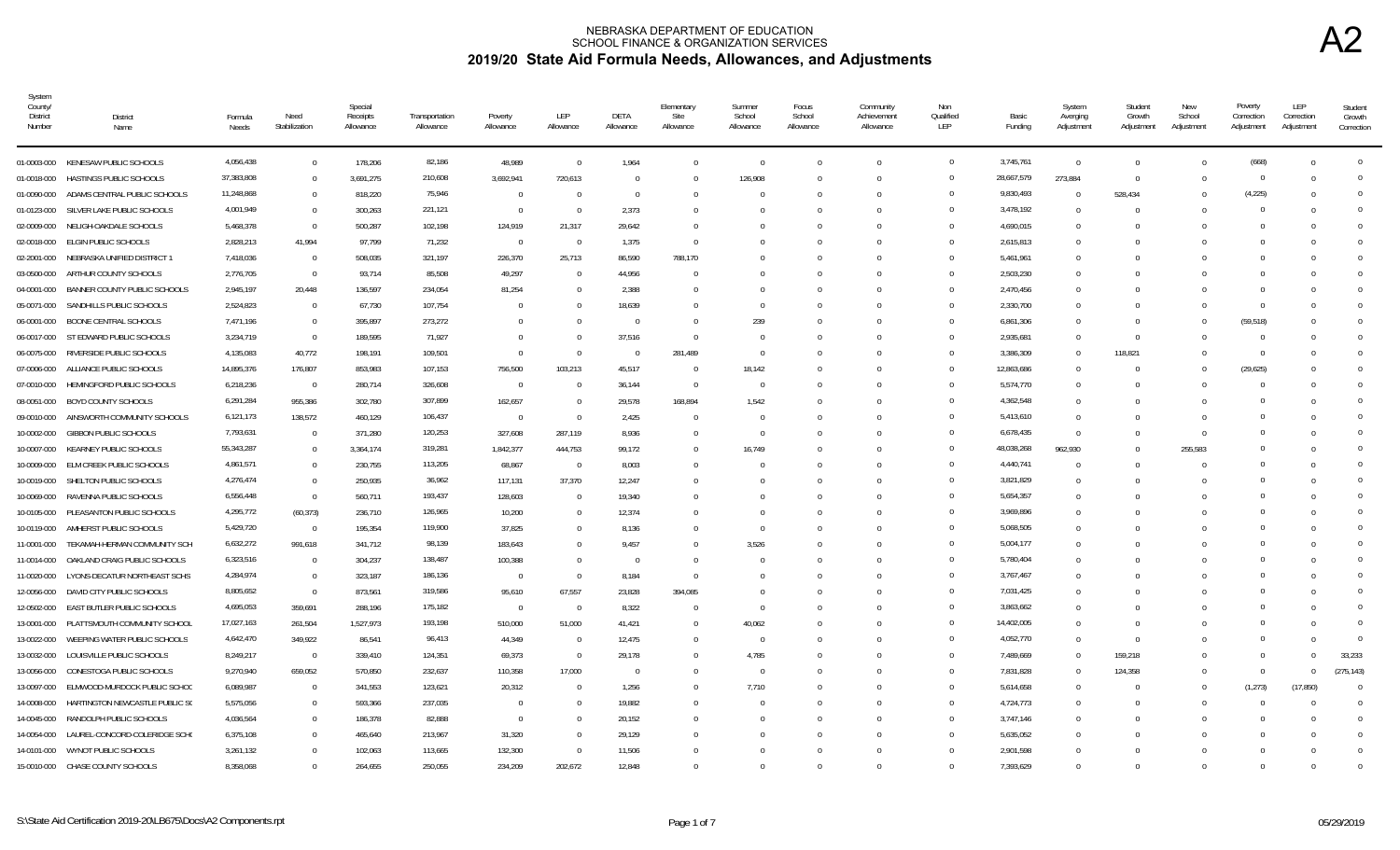| System<br>County/<br><b>District</b><br>Number | District<br>Name                     | Formula<br>Needs | Need<br>Stabilization | Special<br>Receipts<br>Allowance | Transportation<br>Allowance | Poverty<br>Allowance | LEP<br>Allowance         | DETA<br>Allowance | Elementary<br>Site<br>Allowance | Summer<br>School<br>Allowance | Focus<br>School<br>Allowance | Community<br>Achievement<br>Allowance | Non<br>Qualified<br>LEP | Basic<br>Funding | System<br>Averging<br>Adjustment | Student<br>Growth<br>Adjustment | New<br>School<br>Adjustment | Poverty<br>Correction<br>Adjustment | LEP<br>Correction<br>Adjustment | Student<br>Growth<br>Correction |
|------------------------------------------------|--------------------------------------|------------------|-----------------------|----------------------------------|-----------------------------|----------------------|--------------------------|-------------------|---------------------------------|-------------------------------|------------------------------|---------------------------------------|-------------------------|------------------|----------------------------------|---------------------------------|-----------------------------|-------------------------------------|---------------------------------|---------------------------------|
|                                                | 01-0003-000 KENESAW PUBLIC SCHOOLS   | 4,056,438        | $\Omega$              | 178,206                          | 82,186                      | 48,989               | $\overline{0}$           | 1,964             | $\Omega$                        | $\overline{0}$                |                              | $\Omega$                              | $\mathbf{0}$            | 3,745,761        | $\Omega$                         | $\Omega$                        |                             | (668)                               | $\Omega$                        | $\Omega$                        |
| 01-0018-000                                    | HASTINGS PUBLIC SCHOOLS              | 37,383,808       | $\overline{0}$        | 3,691,275                        | 210,608                     | 3,692,941            | 720,613                  | $\Omega$          | $\Omega$                        | 126,908                       |                              | $\cap$                                | $\Omega$                | 28,667,579       | 273,884                          | $\Omega$                        |                             | $\Omega$                            | $\Omega$                        |                                 |
| 01-0090-000                                    | ADAMS CENTRAL PUBLIC SCHOOLS         | 11,248,868       | $\overline{0}$        | 818,220                          | 75,946                      | $\overline{0}$       | - 0                      | $^{\circ}$        |                                 | $\Omega$                      |                              |                                       | $\Omega$                | 9,830,493        | $^{\circ}$                       | 528,434                         |                             | (4, 225)                            | $\Omega$                        |                                 |
| 01-0123-000                                    | SILVER LAKE PUBLIC SCHOOLS           | 4,001,949        | $\overline{0}$        | 300,263                          | 221,121                     | $\overline{0}$       | $\overline{0}$           | 2,373             |                                 | -0                            |                              |                                       | $\Omega$                | 3,478,192        | $^{\circ}$                       | $\Omega$                        |                             | $\Omega$                            | $\Omega$                        |                                 |
| 02-0009-000                                    | NELIGH-OAKDALE SCHOOLS               | 5,468,378        | $\overline{0}$        | 500,287                          | 102,198                     | 124,919              | 21,317                   | 29,642            |                                 | $\Omega$                      |                              |                                       | $\Omega$                | 4,690,015        | $\Omega$                         | $\Omega$                        |                             | $\Omega$                            | $\Omega$                        |                                 |
| 02-0018-000                                    | ELGIN PUBLIC SCHOOLS                 | 2,828,213        | 41,994                | 97,799                           | 71,232                      | $\overline{0}$       | $\overline{\phantom{0}}$ | 1,375             | $\Omega$                        | $\Omega$                      |                              |                                       | $\Omega$                | 2,615,813        | $\Omega$                         |                                 |                             | $\Omega$                            | $\Omega$                        |                                 |
| 02-2001-000                                    | NEBRASKA UNIFIED DISTRICT 1          | 7,418,036        | $\overline{0}$        | 508,035                          | 321,197                     | 226,370              | 25,713                   | 86,590            | 788,170                         | $\Omega$                      |                              | $\cap$                                | $\Omega$                | 5,461,961        | $\Omega$                         |                                 |                             | $\Omega$                            | C                               | $\Omega$                        |
| 03-0500-000                                    | ARTHUR COUNTY SCHOOLS                | 2,776,705        | $\overline{0}$        | 93,714                           | 85,508                      | 49,297               | $\overline{0}$           | 44,956            | $\Omega$                        | $\Omega$                      |                              |                                       | $\Omega$                | 2,503,230        | $\Omega$                         |                                 |                             | $\Omega$                            | C                               |                                 |
| 04-0001-000                                    | BANNER COUNTY PUBLIC SCHOOLS         | 2,945,197        | 20,448                | 136,597                          | 234,054                     | 81,254               | $\Omega$                 | 2,388             | $\Omega$                        | $\Omega$                      |                              |                                       | $\Omega$                | 2,470,456        | $\Omega$                         | $\Omega$                        |                             | $\Omega$                            | -0                              |                                 |
| 05-0071-000                                    | SANDHILLS PUBLIC SCHOOLS             | 2,524,823        | $\overline{0}$        | 67,730                           | 107,754                     | $\cap$               | - 0                      | 18,639            | $\mathbf{u}$                    | $\Omega$                      |                              |                                       | $\Omega$                | 2,330,700        | $\Omega$                         | $\cap$                          |                             | $^{\circ}$                          | -0                              |                                 |
| 06-0001-000                                    | BOONE CENTRAL SCHOOLS                | 7,471,196        | $\overline{0}$        | 395,897                          | 273,272                     | $\Omega$             | $\Omega$                 | $\Omega$          | $\Omega$                        | 239                           |                              |                                       | $\Omega$                | 6,861,306        | $\Omega$                         | $\Omega$                        |                             | (59, 518)                           | C                               |                                 |
|                                                | 06-0017-000 ST EDWARD PUBLIC SCHOOLS | 3,234,719        | $\Omega$              | 189.595                          | 71,927                      |                      | $\Omega$                 | 37,516            | $\Omega$                        | $\Omega$                      |                              |                                       |                         | 2,935,681        | $\Omega$                         | $\Omega$                        |                             | $\Omega$                            | $\Omega$                        |                                 |
| 06-0075-000                                    | RIVERSIDE PUBLIC SCHOOLS             | 4,135,083        | 40,772                | 198,191                          | 109,501                     | $\Omega$             | $\Omega$                 | $\Omega$          | 281,489                         | $\Omega$                      |                              |                                       | $\Omega$                | 3,386,309        | $\Omega$                         | 118,821                         |                             | $\Omega$                            |                                 | $\Omega$                        |
| 07-0006-000                                    | ALLIANCE PUBLIC SCHOOLS              | 14,895,376       | 176,807               | 853,983                          | 107,153                     | 756,500              | 103,213                  | 45,517            | $\Omega$                        | 18,142                        |                              |                                       | $\Omega$                | 12,863,686       | $\Omega$                         |                                 |                             | (29, 625)                           |                                 | $\Omega$                        |
| 07-0010-000                                    | HEMINGFORD PUBLIC SCHOOLS            | 6,218,236        | $\overline{0}$        | 280,714                          | 326,608                     | $\overline{0}$       | - 0                      | 36,144            | $\Omega$                        | 0                             |                              |                                       | $\Omega$                | 5,574,770        | $\Omega$                         | $\Omega$                        |                             | $\Omega$                            | $\Omega$                        | $\cap$                          |
| 08-0051-000                                    | BOYD COUNTY SCHOOLS                  | 6,291,284        | 955,386               | 302,780                          | 307,899                     | 162,657              | $\overline{0}$           | 29,578            | 168,894                         | 1,542                         |                              |                                       | $\Omega$                | 4,362,548        | $^{\circ}$                       |                                 |                             | $\Omega$                            | $\Omega$                        | $\cap$                          |
| 09-0010-000                                    | AINSWORTH COMMUNITY SCHOOLS          | 6,121,173        | 138,572               | 460,129                          | 106,437                     | $\overline{0}$       | $\Omega$                 | 2,425             | $\bigcap$                       | $\Omega$                      |                              | $\cap$                                | $\Omega$                | 5,413,610        | $\Omega$                         | $\Omega$                        |                             | $\Omega$                            | - 0                             |                                 |
| 10-0002-000                                    | <b>GIBBON PUBLIC SCHOOLS</b>         | 7,793,631        | $\overline{0}$        | 371,280                          | 120,253                     | 327,608              | 287,119                  | 8,936             | $\Omega$                        | $\Omega$                      |                              |                                       | $\Omega$                | 6,678,435        | $\Omega$                         | $\Omega$                        | $\cap$                      | $\Omega$                            | $\Omega$                        |                                 |
| 10-0007-000                                    | KEARNEY PUBLIC SCHOOLS               | 55,343,287       | $\overline{0}$        | 3,364,174                        | 319,281                     | 1,842,377            | 444,753                  | 99,172            | $\Omega$                        | 16,749                        |                              |                                       |                         | 48,038,268       | 962,930                          | $\Omega$                        | 255,583                     | $\Omega$                            | $\Omega$                        |                                 |
| 10-0009-000                                    | ELM CREEK PUBLIC SCHOOLS             | 4,861,571        | $\Omega$              | 230,755                          | 113,205                     | 68,867               | $\overline{\phantom{0}}$ | 8,003             | $\Omega$                        | $\Omega$                      |                              | $\cap$                                | $\Omega$                | 4,440,741        | $\Omega$                         | $\Omega$                        |                             | $\Omega$                            | - 0                             |                                 |
|                                                | 10-0019-000 SHELTON PUBLIC SCHOOLS   | 4,276,474        | $\Omega$              | 250,935                          | 36,962                      | 117,131              | 37,370                   | 12,247            | $\Omega$                        | $\Omega$                      |                              |                                       |                         | 3,821,829        | $\Omega$                         | $\Omega$                        |                             | $\Omega$                            | - 0                             |                                 |
| 10-0069-000                                    | RAVENNA PUBLIC SCHOOLS               | 6,556,448        | $\overline{0}$        | 560,711                          | 193,437                     | 128,603              | $\Omega$                 | 19,340            | $\cap$                          | -0                            |                              |                                       | $\Omega$                | 5,654,357        | $\Omega$                         |                                 |                             | $\Omega$                            |                                 |                                 |
| 10-0105-000                                    | PLEASANTON PUBLIC SCHOOLS            | 4,295,772        | (60, 373)             | 236,710                          | 126,965                     | 10,200               | - 0                      | 12,374            |                                 | $\Omega$                      |                              |                                       |                         | 3,969,896        | $\Omega$                         |                                 |                             | $\Omega$                            | C                               |                                 |
| 10-0119-000                                    | AMHERST PUBLIC SCHOOLS               | 5,429,720        | $\overline{0}$        | 195,354                          | 119,900                     | 37.825               | $\Omega$                 | 8.136             |                                 | $\Omega$                      |                              |                                       | $\Omega$                | 5,068,505        | $\Omega$                         |                                 |                             | $\Omega$                            | $\Omega$                        |                                 |
| 11-0001-000                                    | TEKAMAH-HERMAN COMMUNITY SCH         | 6,632,272        | 991,618               | 341,712                          | 98,139                      | 183,643              | $\Omega$                 | 9,457             |                                 | 3,526                         |                              |                                       | $\Omega$                | 5,004,177        | $\Omega$                         |                                 |                             | $\Omega$                            | C                               |                                 |
| 11-0014-000                                    | OAKLAND CRAIG PUBLIC SCHOOLS         | 6,323,516        | $\overline{0}$        | 304,237                          | 138,487                     | 100,388              | $\Omega$                 | $\Omega$          | $\Omega$                        | $\Omega$                      |                              |                                       | $\Omega$                | 5,780,404        | $\Omega$                         |                                 |                             | $\Omega$                            | $\epsilon$                      |                                 |
| 11-0020-000                                    | LYONS-DECATUR NORTHEAST SCHS         | 4,284,974        | $\Omega$              | 323,187                          | 186,136                     | $\Omega$             | $\overline{0}$           | 8,184             | $\Omega$                        | $\Omega$                      |                              |                                       | $\Omega$                | 3,767,467        | $\Omega$                         |                                 |                             | $\Omega$                            |                                 |                                 |
| 12-0056-000                                    | DAVID CITY PUBLIC SCHOOLS            | 8,805,652        | $\overline{0}$        | 873,561                          | 319,586                     | 95,610               | 67,557                   | 23,828            | 394,085                         | $\Omega$                      |                              |                                       | $\cap$                  | 7,031,425        | $^{\circ}$                       |                                 |                             | $\Omega$                            |                                 |                                 |
| 12-0502-000                                    | EAST BUTLER PUBLIC SCHOOLS           | 4,695,053        | 359,691               | 288,196                          | 175,182                     | $\overline{0}$       | $\overline{0}$           | 8,322             | $\Omega$                        | 0                             |                              |                                       | $\Omega$                | 3,863,662        | 0                                |                                 |                             | $\Omega$                            |                                 | $\cap$                          |
| 13-0001-000                                    | PLATTSMOUTH COMMUNITY SCHOOL         | 17,027,163       | 261,504               | 1,527,973                        | 193,198                     | 510,000              | 51,000                   | 41,421            | $\Omega$                        | 40,062                        |                              |                                       | $\Omega$                | 14,402,005       | $\Omega$                         | $\Omega$                        |                             | $\Omega$                            | $\Omega$                        | $\Omega$                        |
| 13-0022-000                                    | WEEPING WATER PUBLIC SCHOOLS         | 4,642,470        | 349,922               | 86,541                           | 96,413                      | 44,349               | $\overline{0}$           | 12,475            | $\Omega$                        | $\Omega$                      |                              |                                       | $\Omega$                | 4,052,770        | $\mathbf{0}$                     | $\Omega$                        |                             | $\Omega$                            | $\Omega$                        | $\Omega$                        |
| 13-0032-000                                    | LOUISVILLE PUBLIC SCHOOLS            | 8,249,217        | $\overline{0}$        | 339,410                          | 124,351                     | 69,373               | $\overline{0}$           | 29,178            | $\Omega$                        | 4,785                         |                              | $\Omega$                              | $\Omega$                | 7,489,669        | $\Omega$                         | 159,218                         |                             | $\Omega$                            | $\Omega$                        | 33,233                          |
| 13-0056-000                                    | CONESTOGA PUBLIC SCHOOLS             | 9,270,940        | 659,052               | 570,850                          | 232,637                     | 110,358              | 17,000                   | $\Omega$          | $\Omega$                        | $\overline{0}$                |                              | $\cap$                                | $\Omega$                | 7,831,828        | $\Omega$                         | 124,358                         |                             | $\Omega$                            | $\Omega$                        | (275.143)                       |
| 13-0097-000                                    | ELMWOOD-MURDOCK PUBLIC SCHOO         | 6,089,987        | $\overline{0}$        | 341,553                          | 123,621                     | 20,312               | - 0                      | 1,256             | $\Omega$                        | 7,710                         |                              |                                       |                         | 5,614,658        | $\Omega$                         | $\Omega$                        |                             | (1, 273)                            | (17, 850)                       | $\Omega$                        |
| 14-0008-000                                    | HARTINGTON NEWCASTLE PUBLIC SO       | 5,575,056        | $\Omega$              | 593,366                          | 237,035                     | $\Omega$             | - 0                      | 19,882            | $\cap$                          | $\Omega$                      |                              |                                       |                         | 4,724,773        | $\Omega$                         | $\Omega$                        |                             | $\Omega$                            | $\Omega$                        |                                 |
|                                                | 14-0045-000 RANDOLPH PUBLIC SCHOOLS  | 4,036,564        | $\Omega$              | 186,378                          | 82,888                      | $\Omega$             | $\Omega$                 | 20,152            | $\mathbf{u}$                    | $\Omega$                      |                              |                                       |                         | 3,747,146        | $\Omega$                         | n                               |                             | $\Omega$                            | - 0                             |                                 |
| 14-0054-000                                    | LAUREL-CONCORD-COLERIDGE SCHO        | 6,375,108        | $\Omega$              | 465,640                          | 213,967                     | 31,320               | $\Omega$                 | 29,129            |                                 | $\Omega$                      |                              |                                       | $\Omega$                | 5,635,052        | $\Omega$                         |                                 |                             | $\Omega$                            | C                               | $\Omega$                        |
| 14-0101-000                                    | WYNOT PUBLIC SCHOOLS                 | 3,261,132        |                       | 102,063                          | 113,665                     | 132,300              | $\Omega$                 | 11,506            |                                 | $\Omega$                      |                              |                                       |                         | 2,901,598        | $\Omega$                         |                                 |                             | $\Omega$                            | $\Omega$                        |                                 |
|                                                | 15-0010-000 CHASE COUNTY SCHOOLS     | 8,358,068        | $\Omega$              | 264,655                          | 250,055                     | 234,209              | 202,672                  | 12,848            | $\Omega$                        |                               |                              |                                       |                         | 7,393,629        | $\Omega$                         | $\Omega$                        |                             | $\Omega$                            | $\Omega$                        |                                 |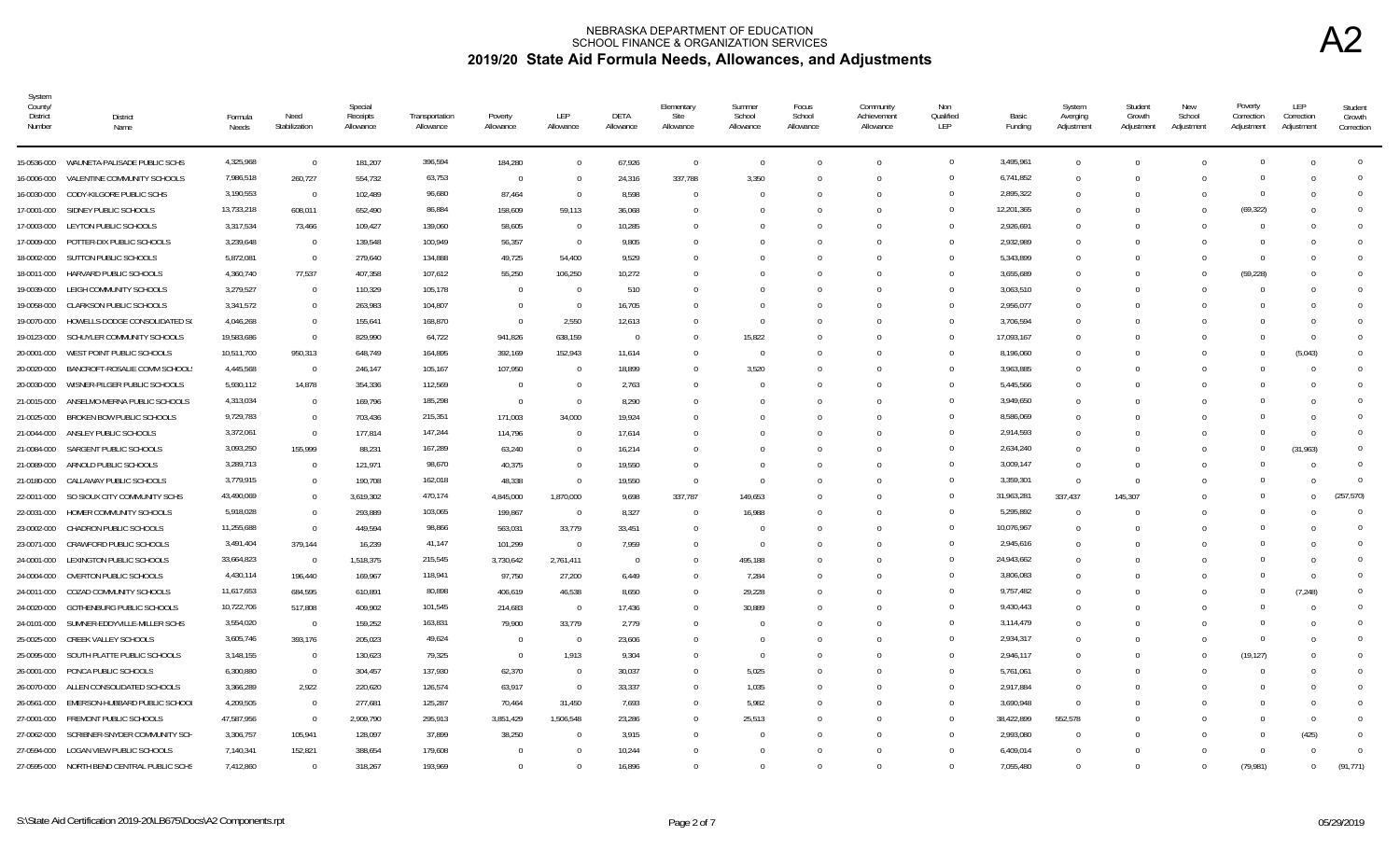| System<br>County/<br>District<br>Number | <b>District</b><br>Name                    | Formula<br>Needs | Need<br>Stabilization | Special<br>Receipts<br>Allowance | Transportation<br>Allowance | Poverty<br>Allowance | LEP<br>Allowance         | DETA<br>Allowance | Elementary<br>Site<br>Allowance | Summer<br>School<br>Allowance | Focus<br>School<br>Allowance | Community<br>Achievement<br>Allowance | Non<br>Qualified<br>LEP | Basic<br>Funding | System<br>Averging<br>Adjustment | Student<br>Growth<br>Adjustment | New<br>School<br>Adjustment | Poverty<br>Correction<br>Adjustment | LEP<br>Correction<br>Adjustment | Student<br>Growth<br>Correction |
|-----------------------------------------|--------------------------------------------|------------------|-----------------------|----------------------------------|-----------------------------|----------------------|--------------------------|-------------------|---------------------------------|-------------------------------|------------------------------|---------------------------------------|-------------------------|------------------|----------------------------------|---------------------------------|-----------------------------|-------------------------------------|---------------------------------|---------------------------------|
|                                         | 15-0536-000 WAUNETA-PALISADE PUBLIC SCHS   | 4,325,968        | $\Omega$              | 181,207                          | 396,594                     | 184,280              | $\overline{0}$           | 67,926            | $\overline{0}$                  | $\overline{0}$                | $\Omega$                     | $\Omega$                              | $\overline{0}$          | 3,495,961        | $\Omega$                         | $\Omega$                        |                             | $\Omega$                            | $\Omega$                        | $\Omega$                        |
| 16-0006-000                             | VALENTINE COMMUNITY SCHOOLS                | 7,986,518        | 260,727               | 554,732                          | 63,753                      | $\overline{0}$       | $\overline{0}$           | 24,316            | 337,788                         | 3,350                         | $\Omega$                     | $\Omega$                              | $\Omega$                | 6,741,852        | $\Omega$                         | $\Omega$                        |                             | $\Omega$                            |                                 |                                 |
| 16-0030-000                             | CODY-KILGORE PUBLIC SCHS                   | 3,190,553        | $\overline{0}$        | 102,489                          | 96,680                      | 87,464               | - 0                      | 8,598             | $\Omega$                        | - 0                           |                              | $\Omega$                              | $\Omega$                | 2,895,322        | $\Omega$                         | -0                              |                             | $\cap$                              |                                 | 0                               |
| 17-0001-000                             | SIDNEY PUBLIC SCHOOLS                      | 13,733,218       | 608,011               | 652,490                          | 86,884                      | 158,609              | 59,113                   | 36,068            | $\Omega$                        |                               |                              |                                       | $\Omega$                | 12,201,365       | $\Omega$                         | -0                              |                             | (69, 322)                           |                                 |                                 |
| 17-0003-000                             | LEYTON PUBLIC SCHOOLS                      | 3,317,534        | 73,466                | 109,427                          | 139,060                     | 58,605               | $\overline{0}$           | 10,285            | $\Omega$                        |                               |                              | $\bigcap$                             | $\Omega$                | 2,926,691        | $\Omega$                         | $\Omega$                        |                             | $\bigcap$                           |                                 |                                 |
|                                         | 17-0009-000 POTTER-DIX PUBLIC SCHOOLS      | 3,239,648        | $\overline{0}$        | 139,548                          | 100,949                     | 56,357               | $\overline{0}$           | 9,805             | $\Omega$                        |                               | <sup>0</sup>                 | $\Omega$                              | $\Omega$                | 2,932,989        | $\Omega$                         | $\cap$                          |                             |                                     |                                 |                                 |
| 18-0002-000                             | SUTTON PUBLIC SCHOOLS                      | 5,872,081        | $\overline{0}$        | 279,640                          | 134,888                     | 49,725               | 54,400                   | 9,529             | $\Omega$                        |                               |                              | $\Omega$                              | $\Omega$                | 5,343,899        | $\Omega$                         | - 0                             |                             | $\Omega$                            |                                 |                                 |
| 18-0011-000                             | HARVARD PUBLIC SCHOOLS                     | 4,360,740        | 77,537                | 407,358                          | 107,612                     | 55,250               | 106,250                  | 10,272            | $\cup$                          |                               |                              |                                       | $\Omega$                | 3,655,689        | $\Omega$                         | - 0                             |                             | (59, 228)                           |                                 |                                 |
| 19-0039-000                             | LEIGH COMMUNITY SCHOOLS                    | 3,279,527        | $\overline{0}$        | 110,329                          | 105,178                     | $\Omega$             | $\overline{0}$           | 510               | $\Omega$                        |                               |                              |                                       | $\Omega$                | 3,063,510        | $\Omega$                         | - 0                             |                             |                                     |                                 |                                 |
| 19-0058-000                             | <b>CLARKSON PUBLIC SCHOOLS</b>             | 3,341,572        | $\Omega$              | 263,983                          | 104,807                     | $\Omega$             | $\overline{0}$           | 16,705            | $\Omega$                        |                               |                              |                                       | $\Omega$                | 2,956,077        | $\Omega$                         | - 0                             |                             |                                     |                                 |                                 |
| 19-0070-000                             | HOWELLS-DODGE CONSOLIDATED SO              | 4,046,268        | $\Omega$              | 155,641                          | 168,870                     | $\Omega$             | 2,550                    | 12,613            | $\Omega$                        | $\Omega$                      |                              |                                       | $\Omega$                | 3,706,594        | $\Omega$                         | - 0                             |                             |                                     |                                 |                                 |
| 19-0123-000                             | SCHUYLER COMMUNITY SCHOOLS                 | 19,583,686       | $\Omega$              | 829,990                          | 64,722                      | 941,826              | 638,159                  | $\Omega$          | $\Omega$                        | 15,822                        |                              |                                       | $\Omega$                | 17,093,167       | $\Omega$                         |                                 |                             |                                     |                                 | $\Omega$                        |
| 20-0001-000                             | WEST POINT PUBLIC SCHOOLS                  | 10,511,700       | 950,313               | 648,749                          | 164,895                     | 392,169              | 152,943                  | 11,614            | $\Omega$                        | $\overline{0}$                |                              |                                       | $\Omega$                | 8,196,060        | $\Omega$                         |                                 |                             |                                     | (5,043)                         |                                 |
| 20-0020-000                             | BANCROFT-ROSALIE COMM SCHOOL:              | 4,445,568        | $\overline{0}$        | 246,147                          | 105,167                     | 107,950              | $\Omega$                 | 18,899            | $\Omega$                        | 3,520                         |                              |                                       | $\Omega$                | 3,963,885        | $\Omega$                         |                                 |                             |                                     |                                 | $\Omega$                        |
| 20-0030-000                             | WISNER-PILGER PUBLIC SCHOOLS               | 5,930,112        | 14,878                | 354,336                          | 112,569                     | $\Omega$             | $\overline{0}$           | 2,763             | $\Omega$                        | - 0                           |                              |                                       | $\Omega$                | 5,445,566        | $\Omega$                         | -0                              |                             |                                     |                                 | <sup>n</sup>                    |
| 21-0015-000                             | ANSELMO-MERNA PUBLIC SCHOOLS               | 4,313,034        | $\Omega$              | 169,796                          | 185,298                     | $\overline{0}$       | $\overline{0}$           | 8,290             | $\Omega$                        |                               |                              |                                       | $\Omega$                | 3,949,650        | $\Omega$                         | -0                              |                             |                                     |                                 | $\Omega$                        |
| 21-0025-000                             | BROKEN BOW PUBLIC SCHOOLS                  | 9,729,783        | $\Omega$              | 703,436                          | 215,351                     | 171,003              | 34,000                   | 19,924            | $\Omega$                        |                               |                              |                                       | $\Omega$                | 8,586,069        | $\Omega$                         | - 0                             |                             |                                     |                                 | $\Omega$                        |
| 21-0044-000                             | ANSLEY PUBLIC SCHOOLS                      | 3,372,061        | $\overline{0}$        | 177,814                          | 147,244                     | 114,796              | $\Omega$                 | 17,614            | $\Omega$                        |                               |                              |                                       | $\overline{0}$          | 2,914,593        | $\Omega$                         | $\Omega$                        |                             | $\Omega$                            | $\Omega$                        | $\Omega$                        |
| 21-0084-000                             | SARGENT PUBLIC SCHOOLS                     | 3,093,250        | 155,999               | 88,231                           | 167,289                     | 63,240               | $\overline{0}$           | 16,214            | $\Omega$                        |                               |                              |                                       | $\Omega$                | 2,634,240        | $\Omega$                         | $\Omega$                        |                             | $\Omega$                            | (31,963)                        | <sup>0</sup>                    |
| 21-0089-000                             | ARNOLD PUBLIC SCHOOLS                      | 3,289,713        | $\Omega$              | 121,971                          | 98,670                      | 40,375               | $\overline{0}$           | 19,550            | $\Omega$                        | ſ                             |                              | $\Omega$                              | $\Omega$                | 3,009,147        | $\Omega$                         | $\Omega$                        |                             |                                     | $\Omega$                        | $\Omega$                        |
| 21-0180-000                             | CALLAWAY PUBLIC SCHOOLS                    | 3,779,915        | $\Omega$              | 190,708                          | 162,018                     | 48,338               | - 0                      | 19,550            | $\overline{0}$                  | -0                            |                              |                                       | $\Omega$                | 3,359,301        | $\Omega$                         | $\Omega$                        |                             |                                     | $\Omega$                        | $\Omega$                        |
| 22-0011-000                             | SO SIOUX CITY COMMUNITY SCHS               | 43,490,069       | $\Omega$              | 3,619,302                        | 470,174                     | 4,845,000            | 1,870,000                | 9,698             | 337,787                         | 149,653                       | U                            | $\Omega$                              | $\mathbf{0}$            | 31,963,281       | 337,437                          | 145,307                         |                             |                                     | 0                               | (257, 570)                      |
| 22-0031-000                             | HOMER COMMUNITY SCHOOLS                    | 5,918,028        | $\Omega$              | 293,889                          | 103,065                     | 199,867              | $\overline{0}$           | 8,327             | $\Omega$                        | 16,988                        | U                            |                                       | $\Omega$                | 5,295,892        | - 0                              | - 0                             |                             |                                     |                                 | $\Omega$                        |
| 23-0002-000                             | CHADRON PUBLIC SCHOOLS                     | 11,255,688       | $\Omega$              | 449,594                          | 98,866                      | 563,031              | 33,779                   | 33.451            | $\Omega$                        | - 0                           | 0                            |                                       | $\Omega$                | 10,076,967       | $\Omega$                         | $\Omega$                        |                             |                                     |                                 | $\Omega$                        |
| 23-0071-000                             | CRAWFORD PUBLIC SCHOOLS                    | 3,491,404        | 379,144               | 16,239                           | 41,147                      | 101,299              | $\Omega$                 | 7,959             | $\Omega$                        | $\overline{0}$                | 0                            | $\cup$                                | $\Omega$                | 2,945,616        | $\Omega$                         | $\Omega$                        |                             |                                     |                                 | $\Omega$                        |
| 24-0001-000                             | LEXINGTON PUBLIC SCHOOLS                   | 33,664,823       | $\overline{0}$        | 1,518,375                        | 215,545                     | 3,730,642            | 2,761,411                | $\Omega$          | $\Omega$                        | 495,188                       |                              |                                       | $\Omega$                | 24,943,662       | $\Omega$                         |                                 |                             |                                     |                                 | $\Omega$                        |
| 24-0004-000                             | OVERTON PUBLIC SCHOOLS                     | 4,430,114        | 196,440               | 169,967                          | 118,941                     | 97,750               | 27,200                   | 6,449             | $\Omega$                        | 7,284                         |                              |                                       | $\Omega$                | 3,806,083        | $\Omega$                         |                                 |                             |                                     |                                 | $\Omega$                        |
| 24-0011-000                             | COZAD COMMUNITY SCHOOLS                    | 11,617,653       | 684,595               | 610,891                          | 80,898                      | 406,619              | 46,538                   | 8,650             | $\Omega$                        | 29,228                        |                              |                                       | $\Omega$                | 9,757,482        | $\Omega$                         | -0                              |                             | - 0                                 | (7, 248)                        | <sup>0</sup>                    |
| 24-0020-000                             | GOTHENBURG PUBLIC SCHOOLS                  | 10,722,706       | 517,808               | 409,902                          | 101,545                     | 214,683              | $\overline{\phantom{0}}$ | 17,436            | $\mathbf{0}$                    | 30,889                        |                              |                                       | $\Omega$                | 9,430,443        | $\Omega$                         | - 0                             |                             | $\cap$                              |                                 | $\Omega$                        |
| 24-0101-000                             | SUMNER-EDDYVILLE-MILLER SCHS               | 3,554,020        | $\overline{0}$        | 159,252                          | 163,831                     | 79,900               | 33,779                   | 2,779             | $\Omega$                        | $\Omega$                      | <sup>0</sup>                 | $\Omega$                              | $\Omega$                | 3,114,479        | $\Omega$                         | $\Omega$                        |                             |                                     |                                 | $\Omega$                        |
| 25-0025-000                             | CREEK VALLEY SCHOOLS                       | 3,605,746        | 393,176               | 205,023                          | 49,624                      | $\Omega$             | $\overline{0}$           | 23,606            | $\Omega$                        | $\Omega$                      |                              | $\bigcap$                             | $\Omega$                | 2,934,317        | $\Omega$                         | $\Omega$                        |                             | $\Omega$                            |                                 | $\Omega$                        |
|                                         | 25-0095-000 SOUTH PLATTE PUBLIC SCHOOLS    | 3,148,155        | $\overline{0}$        | 130,623                          | 79,325                      | $\overline{0}$       | 1,913                    | 9,304             | $\Omega$                        | $\Omega$                      | $\Omega$                     | $\cup$                                | $\Omega$                | 2,946,117        | $\Omega$                         | $\Omega$                        |                             | (19, 127)                           | 0                               |                                 |
| 26-0001-000                             | PONCA PUBLIC SCHOOLS                       | 6,300,880        | $\overline{0}$        | 304,457                          | 137,930                     | 62,370               | $\overline{0}$           | 30,037            | $\Omega$                        | 5,025                         | <sup>0</sup>                 | $\cup$                                | $\Omega$                | 5,761,061        | $\Omega$                         | - 0                             |                             |                                     |                                 |                                 |
| 26-0070-000                             | ALLEN CONSOLIDATED SCHOOLS                 | 3,366,289        | 2,922                 | 220,620                          | 126,574                     | 63,917               | $\overline{0}$           | 33,337            | $\Omega$                        | 1,035                         | <sup>0</sup>                 |                                       | $\Omega$                | 2,917,884        | $\Omega$                         | - 0                             |                             |                                     |                                 |                                 |
| 26-0561-000                             | EMERSON-HUBBARD PUBLIC SCHOOL              | 4,209,505        | $\overline{0}$        | 277,681                          | 125,287                     | 70,464               | 31,450                   | 7,693             | $\Omega$                        | 5,982                         | U                            | $\Omega$                              | $\Omega$                | 3,690,948        | $\Omega$                         | - 0                             |                             |                                     |                                 |                                 |
|                                         | 27-0001-000 FREMONT PUBLIC SCHOOLS         | 47,587,956       | $\Omega$              | 2,909,790                        | 295,913                     | 3,851,429            | 1,506,548                | 23,286            | $\Omega$                        | 25,513                        | 0                            | $\Omega$                              | $\Omega$                | 38,422,899       | 552,578                          | - ( )                           |                             |                                     | $\Omega$                        |                                 |
| 27-0062-000                             | SCRIBNER-SNYDER COMMUNITY SCH              | 3,306,757        | 105,941               | 128,097                          | 37,899                      | 38,250               | $\Omega$                 | 3.915             | $\Omega$                        |                               |                              |                                       | $\Omega$                | 2,993,080        | $\Omega$                         | $\Omega$                        |                             | $\Omega$                            | (425)                           | 0                               |
| 27-0594-000                             | LOGAN VIEW PUBLIC SCHOOLS                  | 7,140,341        | 152,821               | 388,654                          | 179,608                     |                      | $\Omega$                 | 10,244            | $\Omega$                        |                               |                              |                                       |                         | 6,409,014        | $\Omega$                         | - 0                             |                             |                                     |                                 | $\Omega$                        |
|                                         | 27-0595-000 NORTH BEND CENTRAL PUBLIC SCHS | 7,412,860        | $\Omega$              | 318,267                          | 193,969                     | $\Omega$             | $\Omega$                 | 16,896            | $\Omega$                        |                               |                              |                                       | $\Omega$                | 7,055,480        |                                  | $\Omega$                        |                             | (79,981)                            | 0                               | (91, 771)                       |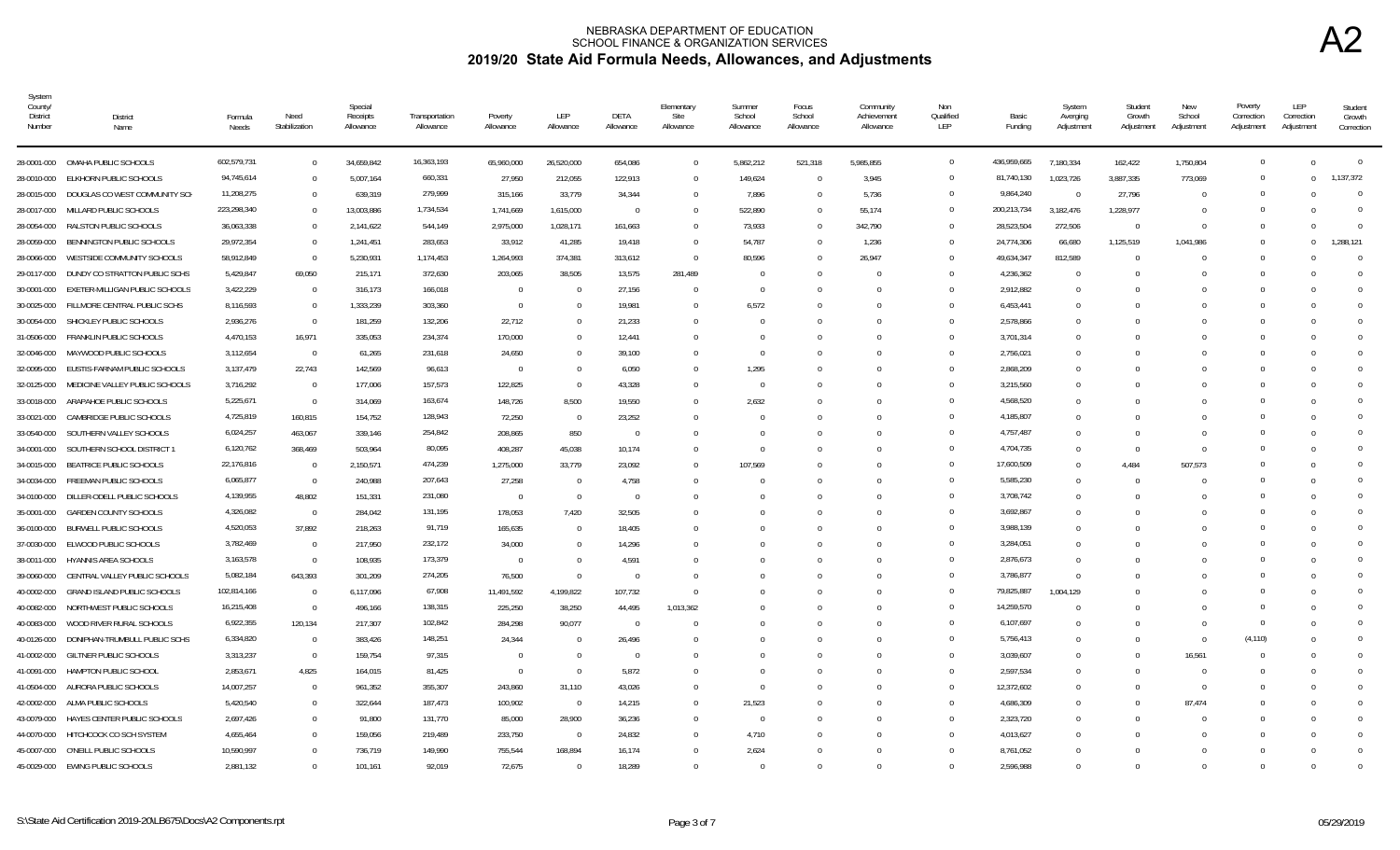| System<br>County/<br>District<br>Number | District<br>Name                   | Formula<br>Needs | Need<br>Stabilization | Special<br>Receipts<br>Allowance | Transportation<br>Allowance | Poverty<br>Allowance | LEP<br>Allowance         | DETA<br>Allowance | Elementary<br>Site<br>Allowance | Summer<br>School<br>Allowance | Focus<br>School<br>Allowance | Community<br>Achievement<br>Allowance | Non<br>Qualified<br>LEP | Basic<br>Funding | System<br>Averging<br>Adjustment | Student<br>Growth<br>Adjustment | <b>New</b><br>School<br>Adjustment | Poverty<br>Correction<br>Adjustment | LEP<br>Correction<br>Adjustment | Student<br>Growth<br>Correction |
|-----------------------------------------|------------------------------------|------------------|-----------------------|----------------------------------|-----------------------------|----------------------|--------------------------|-------------------|---------------------------------|-------------------------------|------------------------------|---------------------------------------|-------------------------|------------------|----------------------------------|---------------------------------|------------------------------------|-------------------------------------|---------------------------------|---------------------------------|
| 28-0001-000                             | OMAHA PUBLIC SCHOOLS               | 602,579,731      | $\overline{0}$        | 34,659,842                       | 16,363,193                  | 65,960,000           | 26,520,000               | 654,086           | $\overline{0}$                  | 5,862,212                     | 521,318                      | 5,985,855                             | $\mathbf{0}$            | 436,959,665      | 7,180,334                        | 162,422                         | 1,750,804                          | $\overline{0}$                      | $\Omega$                        | $\mathbf{0}$                    |
| 28-0010-000                             | ELKHORN PUBLIC SCHOOLS             | 94,745,614       | $\overline{0}$        | 5,007,164                        | 660,331                     | 27,950               | 212,055                  | 122,913           | $\overline{0}$                  | 149,624                       |                              | 3,945                                 | $\Omega$                | 81,740,130       | 1,023,726                        | 3,887,335                       | 773,069                            | $\overline{0}$                      | $^{\circ}$                      | 1,137,372                       |
| 28-0015-000                             | DOUGLAS CO WEST COMMUNITY SCH      | 11,208,275       | $\overline{0}$        | 639,319                          | 279,999                     | 315,166              | 33,779                   | 34,344            | $\overline{0}$                  | 7,896                         |                              | 5,736                                 | $\mathbf{0}$            | 9,864,240        | $\Omega$                         | 27,796                          | 0                                  | $\overline{0}$                      | - 0                             | $\Omega$                        |
| 28-0017-000                             | MILLARD PUBLIC SCHOOLS             | 223,298,340      | $\Omega$              | 13,003,886                       | 1,734,534                   | 1,741,669            | 1,615,000                | $\Omega$          | $\Omega$                        | 522,890                       |                              | 55,174                                | $\Omega$                | 200,213,734      | 3,182,476                        | 1,228,977                       | -0                                 | $\Omega$                            | $\Omega$                        | $\Omega$                        |
| 28-0054-000                             | RALSTON PUBLIC SCHOOLS             | 36,063,338       | $\Omega$              | 2,141,622                        | 544,149                     | 2,975,000            | 1,028,171                | 161,663           | $\Omega$                        | 73,933                        |                              | 342,790                               | $\Omega$                | 28,523,504       | 272,506                          | $\overline{0}$                  | $\Omega$                           | $\Omega$                            | $\Omega$                        | $\Omega$                        |
| 28-0059-000                             | BENNINGTON PUBLIC SCHOOLS          | 29,972,354       | $\overline{0}$        | 1,241,451                        | 283,653                     | 33,912               | 41,285                   | 19,418            | $\Omega$                        | 54,787                        |                              | 1,236                                 | $\Omega$                | 24,774,306       | 66,680                           | 1,125,519                       | 1,041,986                          | $\Omega$                            | $\Omega$                        | 1.288.121                       |
| 28-0066-000                             | WESTSIDE COMMUNITY SCHOOLS         | 58,912,849       | $\overline{0}$        | 5,230,931                        | 1,174,453                   | 1,264,993            | 374,381                  | 313,612           | $\overline{0}$                  | 80,596                        |                              | 26,947                                | $\Omega$                | 49,634,347       | 812,589                          | $\Omega$                        | ſ                                  | $\Omega$                            | $\Omega$                        | $\Omega$                        |
| 29-0117-000                             | DUNDY CO STRATTON PUBLIC SCHS      | 5,429,847        | 69,050                | 215,171                          | 372,630                     | 203,065              | 38,505                   | 13,575            | 281,489                         | - 0                           |                              |                                       | $\Omega$                | 4,236,362        | $\Omega$                         |                                 |                                    | $\Omega$                            | $\Omega$                        | $\Omega$                        |
| 30-0001-000                             | EXETER-MILLIGAN PUBLIC SCHOOLS     | 3,422,229        | $\overline{0}$        | 316,173                          | 166,018                     | $\Omega$             | $\overline{0}$           | 27,156            | $\Omega$                        | $\Omega$                      |                              |                                       | $\Omega$                | 2,912,882        | $\Omega$                         |                                 |                                    | $\Omega$                            | $\Omega$                        | $\Omega$                        |
| 30-0025-000                             | FILLMORE CENTRAL PUBLIC SCHS       | 8,116,593        | $\overline{0}$        | 1,333,239                        | 303,360                     | $\Omega$             | - 0                      | 19,981            | $\Omega$                        | 6,572                         |                              |                                       | $\Omega$                | 6,453,441        | $\Omega$                         |                                 |                                    | $\Omega$                            | $\Omega$                        | $\Omega$                        |
| 30-0054-000                             | SHICKLEY PUBLIC SCHOOLS            | 2,936,276        | $\overline{0}$        | 181,259                          | 132,206                     | 22,712               | $\Omega$                 | 21,233            | $\Omega$                        | $\Omega$                      |                              |                                       | $\Omega$                | 2,578,866        | $\Omega$                         |                                 |                                    | $\Omega$                            | $\Omega$                        | $\Omega$                        |
| 31-0506-000                             | FRANKLIN PUBLIC SCHOOLS            | 4,470,153        | 16,971                | 335,053                          | 234,374                     | 170,000              | $\Omega$                 | 12,441            | $\Omega$                        | $\Omega$                      |                              |                                       | $\Omega$                | 3,701,314        | $\Omega$                         |                                 |                                    | $\Omega$                            | $\Omega$                        | $\Omega$                        |
| 32-0046-000                             | MAYWOOD PUBLIC SCHOOLS             | 3,112,654        | $\overline{0}$        | 61,265                           | 231,618                     | 24,650               | $\Omega$                 | 39,100            | $\Omega$                        | - 0                           |                              |                                       | $\Omega$                | 2,756,021        | $\Omega$                         |                                 |                                    | $\Omega$                            | $\Omega$                        | $\mathbf{0}$                    |
| 32-0095-000                             | EUSTIS-FARNAM PUBLIC SCHOOLS       | 3,137,479        | 22,743                | 142,569                          | 96,613                      | $\Omega$             | $\Omega$                 | 6,050             | $\Omega$                        | 1,295                         |                              |                                       | $\overline{0}$          | 2,868,209        | $\Omega$                         |                                 |                                    | 0                                   | $\Omega$                        | $\mathbf{0}$                    |
| 32-0125-000                             | MEDICINE VALLEY PUBLIC SCHOOLS     | 3,716,292        | $\overline{0}$        | 177,006                          | 157,573                     | 122,825              | $\overline{0}$           | 43,328            | $\Omega$                        | $\Omega$                      |                              |                                       | $\Omega$                | 3,215,560        | $\Omega$                         |                                 |                                    | $\Omega$                            | $\Omega$                        | $\Omega$                        |
| 33-0018-000                             | ARAPAHOE PUBLIC SCHOOLS            | 5,225,671        | $\overline{0}$        | 314,069                          | 163,674                     | 148,726              | 8,500                    | 19,550            | $\Omega$                        | 2,632                         |                              |                                       | $\Omega$                | 4,568,520        | $\Omega$                         |                                 |                                    | $\Omega$                            | $\Omega$                        | $\Omega$                        |
| 33-0021-000                             | CAMBRIDGE PUBLIC SCHOOLS           | 4,725,819        | 160,815               | 154,752                          | 128,943                     | 72,250               | $\overline{\phantom{0}}$ | 23,252            | $\Omega$                        | - 0                           |                              |                                       | $\Omega$                | 4,185,807        | $\Omega$                         |                                 |                                    | $\Omega$                            | $\Omega$                        | $\Omega$                        |
| 33-0540-000                             | SOUTHERN VALLEY SCHOOLS            | 6,024,257        | 463,067               | 339,146                          | 254,842                     | 208,865              | 850                      | $\overline{0}$    | $\Omega$                        | - 0                           |                              |                                       | $\Omega$                | 4,757,487        | $\Omega$                         | $\cup$                          |                                    | $\Omega$                            | $\Omega$                        | $\Omega$                        |
| 34-0001-000                             | SOUTHERN SCHOOL DISTRICT 1         | 6,120,762        | 368,469               | 503,964                          | 80,095                      | 408,287              | 45,038                   | 10,174            | $\Omega$                        | - 0                           |                              |                                       | $\Omega$                | 4,704,735        | $\Omega$                         | $\Omega$                        | $\Omega$                           | $\Omega$                            | $\Omega$                        | $\Omega$                        |
| 34-0015-000                             | BEATRICE PUBLIC SCHOOLS            | 22,176,816       | $\overline{0}$        | 2,150,571                        | 474,239                     | 1,275,000            | 33,779                   | 23,092            | $\Omega$                        | 107,569                       |                              |                                       | $\Omega$                | 17,600,509       | $\Omega$                         | 4,484                           | 507,573                            | $\Omega$                            | $\Omega$                        | $\Omega$                        |
| 34-0034-000                             | FREEMAN PUBLIC SCHOOLS             | 6,065,877        | $\overline{0}$        | 240,988                          | 207,643                     | 27,258               | $\overline{\phantom{0}}$ | 4,758             | $\Omega$                        | - 0                           |                              |                                       | $\Omega$                | 5,585,230        | $\Omega$                         | $\Omega$                        | $\Omega$                           | $\Omega$                            | $\Omega$                        | $\Omega$                        |
| 34-0100-000                             | DILLER-ODELL PUBLIC SCHOOLS        | 4,139,955        | 48,802                | 151,331                          | 231,080                     | $\Omega$             | $\overline{0}$           | $\Omega$          | $\Omega$                        | $\Omega$                      |                              | $\cap$                                | $\Omega$                | 3,708,742        | $\Omega$                         |                                 |                                    | $\Omega$                            | $\Omega$                        | $\Omega$                        |
| 35-0001-000                             | <b>GARDEN COUNTY SCHOOLS</b>       | 4,326,082        | $\overline{0}$        | 284,042                          | 131,195                     | 178,053              | 7,420                    | 32,505            | $\Omega$                        | - 0                           |                              |                                       | $\Omega$                | 3,692,867        | $\Omega$                         |                                 |                                    | $\Omega$                            | $\Omega$                        | $\Omega$                        |
| 36-0100-000                             | <b>BURWELL PUBLIC SCHOOLS</b>      | 4,520,053        | 37,892                | 218,263                          | 91,719                      | 165,635              | - 0                      | 18,405            | $\Omega$                        | $\Omega$                      |                              |                                       | $\Omega$                | 3,988,139        | $\Omega$                         |                                 |                                    | $\Omega$                            | - 0                             | $\Omega$                        |
| 37-0030-000                             | ELWOOD PUBLIC SCHOOLS              | 3,782,469        | $\overline{0}$        | 217,950                          | 232,172                     | 34,000               | $\Omega$                 | 14,296            | $\Omega$                        | - 0                           |                              |                                       | $\Omega$                | 3,284,051        | $\Omega$                         |                                 |                                    | $\Omega$                            | $\Omega$                        | $\Omega$                        |
| 38-0011-000                             | <b>HYANNIS AREA SCHOOLS</b>        | 3,163,578        | $\overline{0}$        | 108.935                          | 173,379                     | $\overline{0}$       | $\Omega$                 | 4.591             | $\Omega$                        | $\cap$                        |                              |                                       | $\Omega$                | 2,876,673        | $\Omega$                         |                                 |                                    | $\Omega$                            | $\Omega$                        | $\Omega$                        |
| 39-0060-000                             | CENTRAL VALLEY PUBLIC SCHOOLS      | 5,082,184        | 643,393               | 301,209                          | 274,205                     | 76,500               | $\overline{0}$           | $\Omega$          | $\Omega$                        | $\Omega$                      |                              |                                       | $\Omega$                | 3,786,877        | $\Omega$                         |                                 |                                    | $\Omega$                            | $\Omega$                        | $\Omega$                        |
| 40-0002-000                             | <b>GRAND ISLAND PUBLIC SCHOOLS</b> | 102,814,166      | $\overline{0}$        | 6,117,096                        | 67,908                      | 11,491,592           | 4,199,822                | 107,732           | $\Omega$                        |                               |                              |                                       | $\Omega$                | 79,825,887       | 1,004,129                        |                                 |                                    | $\Omega$                            |                                 | $\Omega$                        |
| 40-0082-000                             | NORTHWEST PUBLIC SCHOOLS           | 16,215,408       | $\overline{0}$        | 496,166                          | 138,315                     | 225,250              | 38,250                   | 44,495            | 1,013,362                       | $\Omega$                      |                              |                                       | $\Omega$                | 14,259,570       |                                  |                                 |                                    | $^{\circ}$                          | $\Omega$                        | $\Omega$                        |
| 40-0083-000                             | WOOD RIVER RURAL SCHOOLS           | 6,922,355        | 120,134               | 217,307                          | 102,842                     | 284,298              | 90,077                   | - 0               | $\Omega$                        | $\Omega$                      |                              |                                       | $\Omega$                | 6,107,697        | $\Omega$                         |                                 | -0                                 | $\overline{0}$                      | - 0                             | $\mathbf{0}$                    |
| 40-0126-000                             | DONIPHAN-TRUMBULL PUBLIC SCHS      | 6,334,820        | $\overline{0}$        | 383,426                          | 148,251                     | 24,344               | $\overline{0}$           | 26,496            |                                 | $\Omega$                      |                              |                                       | $\Omega$                | 5,756,413        | $\mathbf 0$                      | $\Omega$                        | $\Omega$                           | (4, 110)                            | $\overline{0}$                  | $\Omega$                        |
| 41-0002-000                             | <b>GILTNER PUBLIC SCHOOLS</b>      | 3,313,237        | $\overline{0}$        | 159,754                          | 97,315                      | $\Omega$             | $\overline{0}$           | $\Omega$          | $\Omega$                        | $\Omega$                      |                              |                                       | $\Omega$                | 3,039,607        | $\Omega$                         | $\Omega$                        | 16,561                             | $\Omega$                            | $\Omega$                        | $\Omega$                        |
| 41-0091-000                             | HAMPTON PUBLIC SCHOOL              | 2,853,671        | 4,825                 | 164,015                          | 81,425                      | $\overline{0}$       | $\overline{0}$           | 5,872             | $\Omega$                        | $\Omega$                      |                              |                                       | $\Omega$                | 2,597,534        | $\Omega$                         | $\cup$                          | $\Omega$                           | $\Omega$                            | - 0                             | $\Omega$                        |
| 41-0504-000                             | AURORA PUBLIC SCHOOLS              | 14,007,257       | $\overline{0}$        | 961,352                          | 355,307                     | 243,860              | 31,110                   | 43,026            | $\Omega$                        | - 0                           |                              |                                       | $\Omega$                | 12,372,602       | $\Omega$                         |                                 | - 0                                | $\Omega$                            | $\Omega$                        | $\Omega$                        |
| 42-0002-000                             | ALMA PUBLIC SCHOOLS                | 5,420,540        | $\overline{0}$        | 322,644                          | 187,473                     | 100,902              | $\overline{0}$           | 14,215            | $\Omega$                        | 21,523                        |                              |                                       | $\Omega$                | 4,686,309        | $\Omega$                         | $\Omega$                        | 87,474                             | $\Omega$                            | - 0                             | $\Omega$                        |
| 43-0079-000                             | HAYES CENTER PUBLIC SCHOOLS        | 2,697,426        | $\overline{0}$        | 91,800                           | 131,770                     | 85,000               | 28,900                   | 36,236            | $\Omega$                        | - 0                           |                              |                                       | $\Omega$                | 2,323,720        | $\Omega$                         |                                 | - C                                | $\Omega$                            | - 0                             | $\Omega$                        |
| 44-0070-000                             | HITCHCOCK CO SCH SYSTEM            | 4,655,464        | $\Omega$              | 159,056                          | 219,489                     | 233,750              | $\overline{0}$           | 24,832            | $\Omega$                        | 4,710                         |                              | $\cap$                                | $\Omega$                | 4,013,627        | $\Omega$                         | $\bigcap$                       | - 0                                | $\Omega$                            | $\Omega$                        | $\Omega$                        |
| 45-0007-000                             | O'NEILL PUBLIC SCHOOLS             | 10,590,997       | $\Omega$              | 736,719                          | 149,990                     | 755,544              | 168,894                  | 16,174            | $\Omega$                        | 2,624                         |                              |                                       |                         | 8,761,052        | $\Omega$                         |                                 |                                    | $\Omega$                            | $\Omega$                        | $\Omega$                        |
|                                         | 45-0029-000 EWING PUBLIC SCHOOLS   | 2,881,132        | $\Omega$              | 101.161                          | 92,019                      | 72.675               | $\overline{0}$           | 18,289            | $\Omega$                        | $\Omega$                      |                              |                                       | $\Omega$                | 2,596,988        | $\Omega$                         |                                 |                                    | $\Omega$                            | $\Omega$                        | $\Omega$                        |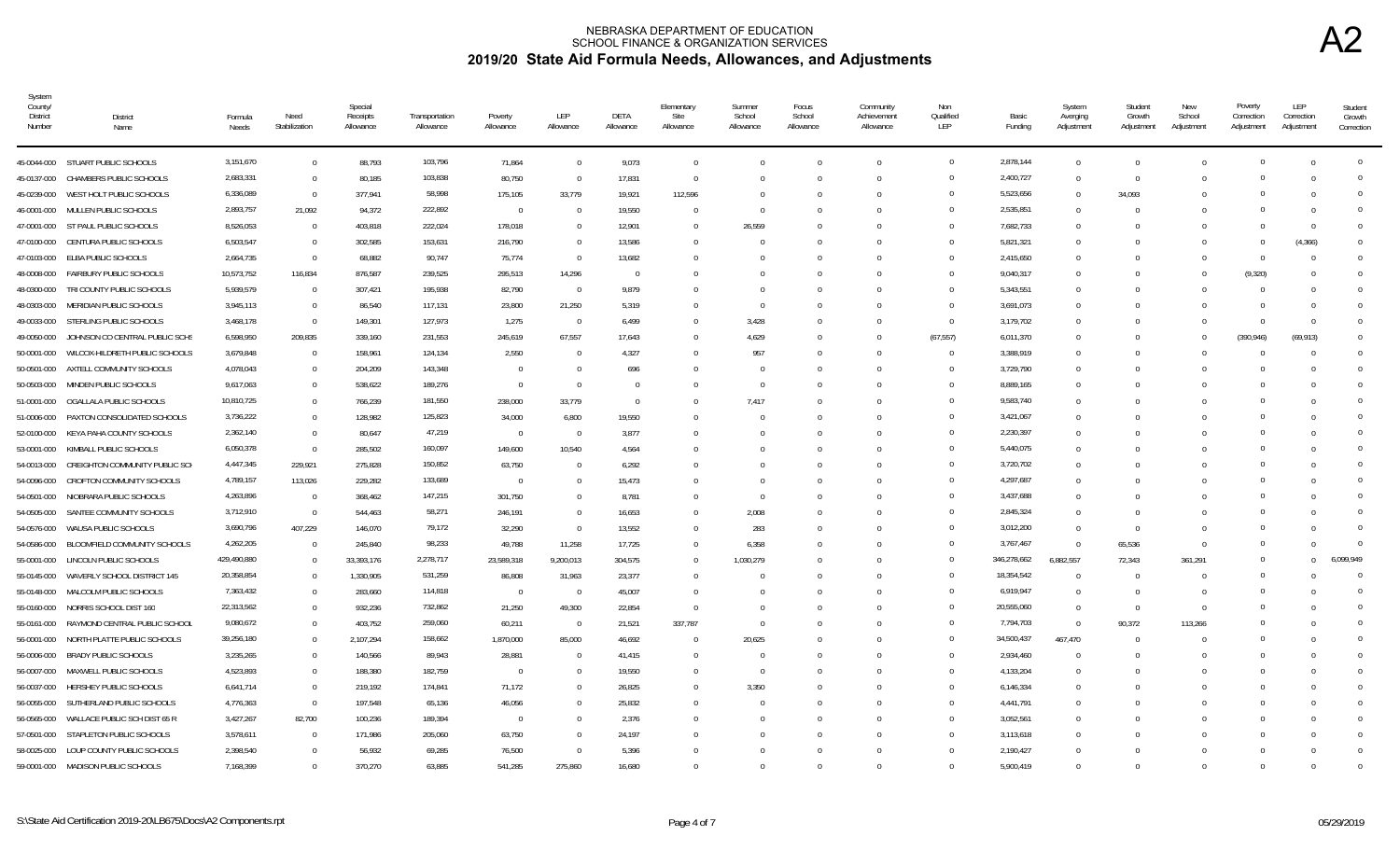| System<br>County/<br><b>District</b><br>Number | District<br>Name                    | Formula<br>Needs | Need<br>Stabilization | Special<br>Receipts<br>Allowance | Transportation<br>Allowance | Poverty<br>Allowance | LEP<br>Allowance         | DETA<br>Allowance | Elementary<br>Site<br>Allowance | Summer<br>School<br>Allowance | Focus<br>School<br>Allowance | Community<br>Achievement<br>Allowance | Non<br>Qualified<br>LEP | Basic<br>Funding | System<br>Averging<br>Adjustment | Student<br>Growth<br>Adjustment | New<br>School<br>Adjustment | Poverty<br>Correction<br>Adjustment | LEP<br>Correction<br>Adjustment | Student<br>Growth<br>Correction |
|------------------------------------------------|-------------------------------------|------------------|-----------------------|----------------------------------|-----------------------------|----------------------|--------------------------|-------------------|---------------------------------|-------------------------------|------------------------------|---------------------------------------|-------------------------|------------------|----------------------------------|---------------------------------|-----------------------------|-------------------------------------|---------------------------------|---------------------------------|
|                                                | 45-0044-000 STUART PUBLIC SCHOOLS   | 3,151,670        | $\overline{0}$        | 88,793                           | 103,796                     | 71,864               | $\overline{0}$           | 9,073             | $\overline{0}$                  | $\Omega$                      | $\Omega$                     | $\Omega$                              | $\overline{0}$          | 2,878,144        | $\overline{0}$                   | $\Omega$                        |                             |                                     |                                 | $\overline{0}$                  |
| 45-0137-000                                    | CHAMBERS PUBLIC SCHOOLS             | 2,683,331        | $\Omega$              | 80,185                           | 103,838                     | 80,750               | $\overline{0}$           | 17,831            | $\overline{0}$                  | - 0                           | $\Omega$                     | $\Omega$                              | $\Omega$                | 2,400,727        | $\overline{0}$                   | $\overline{0}$                  |                             |                                     |                                 | $\Omega$                        |
| 45-0239-000                                    | WEST HOLT PUBLIC SCHOOLS            | 6,336,089        | $\overline{0}$        | 377,941                          | 58,998                      | 175,105              | 33,779                   | 19,921            | 112,596                         | -0                            | $\Omega$                     | $\Omega$                              | $\Omega$                | 5,523,656        | $\Omega$                         | 34,093                          |                             |                                     |                                 | $\Omega$                        |
| 46-0001-000                                    | MULLEN PUBLIC SCHOOLS               | 2,893,757        | 21,092                | 94,372                           | 222,892                     | $\overline{0}$       | $\Omega$                 | 19,550            | $\Omega$                        | $\Omega$                      | $\Omega$                     | $\cup$                                | $\Omega$                | 2,535,851        | $\Omega$                         | $\bigcap$                       |                             |                                     |                                 | $\Omega$                        |
|                                                | 47-0001-000 ST PAUL PUBLIC SCHOOLS  | 8,526,053        | $\overline{0}$        | 403,818                          | 222,024                     | 178,018              | $\overline{0}$           | 12,901            | $\Omega$                        | 26,559                        |                              | $\Omega$                              | $\Omega$                | 7,682,733        | $\Omega$                         | $\Omega$                        |                             |                                     | - 0                             | $\Omega$                        |
|                                                | 47-0100-000 CENTURA PUBLIC SCHOOLS  | 6,503,547        | $\Omega$              | 302,585                          | 153,631                     | 216,790              | - 0                      | 13,586            | $\Omega$                        | $\Omega$                      | $\Omega$                     | $\cup$                                | $\Omega$                | 5,821,321        | $\Omega$                         | -0                              |                             |                                     | (4, 366)                        | $\Omega$                        |
| 47-0103-000                                    | ELBA PUBLIC SCHOOLS                 | 2,664,735        | $\Omega$              | 68,882                           | 90,747                      | 75,774               | $\overline{0}$           | 13,682            | $\Omega$                        | - C                           | $\Omega$                     | $\Omega$                              | $\Omega$                | 2,415,650        | $\Omega$                         | n                               |                             | $\cap$                              |                                 | $\Omega$                        |
| 48-0008-000                                    | FAIRBURY PUBLIC SCHOOLS             | 10,573,752       | 116,834               | 876,587                          | 239,525                     | 295,513              | 14,296                   | $\Omega$          | $\Box$                          |                               |                              | $\Box$                                | $\Omega$                | 9,040,317        | $\Omega$                         | n                               |                             | (9,320)                             |                                 | $\Omega$                        |
| 48-0300-000                                    | TRI COUNTY PUBLIC SCHOOLS           | 5,939,579        | $\overline{0}$        | 307,421                          | 195,938                     | 82,790               | $\overline{\phantom{0}}$ | 9,879             | $\Omega$                        | $\Omega$                      | $\Omega$                     | $\Omega$                              | $\Omega$                | 5,343,551        | $\Omega$                         | $\cup$                          |                             |                                     |                                 | $\Omega$                        |
| 48-0303-000                                    | MERIDIAN PUBLIC SCHOOLS             | 3,945,113        | $\Omega$              | 86,540                           | 117,131                     | 23,800               | 21,250                   | 5,319             | $\Omega$                        | - 0                           | $\Omega$                     | $\Omega$                              | $\Omega$                | 3,691,073        | $\Omega$                         | $\Omega$                        |                             |                                     | - 0                             | $\Omega$                        |
|                                                | 49-0033-000 STERLING PUBLIC SCHOOLS | 3,468,178        | $\Omega$              | 149,301                          | 127,973                     | 1,275                | $\overline{0}$           | 6,499             | $\Omega$                        | 3,428                         | $\Omega$                     | $\Omega$                              | $\overline{0}$          | 3,179,702        | $\Omega$                         | $\Omega$                        |                             |                                     | - 0                             | $\Omega$                        |
| 49-0050-000                                    | JOHNSON CO CENTRAL PUBLIC SCHS      | 6,598,950        | 209,835               | 339,160                          | 231,553                     | 245,619              | 67,557                   | 17,643            | $\Omega$                        | 4,629                         | $\Omega$                     | $\Omega$                              | (67, 557)               | 6,011,370        | $\Omega$                         | $\Omega$                        |                             | (390, 946)                          | (69, 913)                       |                                 |
| 50-0001-000                                    | WILCOX-HILDRETH PUBLIC SCHOOLS      | 3,679,848        | $\Omega$              | 158,961                          | 124,134                     | 2.550                | $\Omega$                 | 4,327             | $\Omega$                        | 957                           |                              |                                       | $\Omega$                | 3,388,919        | $\Omega$                         |                                 |                             |                                     |                                 | $\Omega$                        |
| 50-0501-000                                    | AXTELL COMMUNITY SCHOOLS            | 4,078,043        | $\Omega$              | 204,209                          | 143,348                     | $\Omega$             | $\Omega$                 | 696               | $\Omega$                        | $\Omega$                      | <sup>0</sup>                 | $\cup$                                | $\Omega$                | 3,729,790        | $\Omega$                         |                                 |                             |                                     |                                 | $\Omega$                        |
| 50-0503-000                                    | MINDEN PUBLIC SCHOOLS               | 9,617,063        | $\Omega$              | 538,622                          | 189,276                     | $\overline{0}$       | $\Omega$                 | $\Omega$          | $\Omega$                        | $\Omega$                      |                              | $\Omega$                              | $\Omega$                | 8,889,165        | $\Omega$                         |                                 |                             |                                     |                                 | $\Omega$                        |
| 51-0001-000                                    | OGALLALA PUBLIC SCHOOLS             | 10,810,725       | $\Omega$              | 766,239                          | 181,550                     | 238,000              | 33,779                   | $\overline{0}$    |                                 | 7,417                         |                              |                                       | $\Omega$                | 9,583,740        | $\Omega$                         |                                 |                             |                                     |                                 | $\Omega$                        |
| 51-0006-000                                    | PAXTON CONSOLIDATED SCHOOLS         | 3,736,222        | $\overline{0}$        | 128,982                          | 125,823                     | 34,000               | 6,800                    | 19,550            | $\cup$                          | - 0                           | $\Omega$                     | $\cup$                                | $\Omega$                | 3,421,067        | $\mathbf{0}$                     | n                               |                             |                                     |                                 | $\Omega$                        |
| 52-0100-000                                    | KEYA PAHA COUNTY SCHOOLS            | 2,362,140        | $\Omega$              | 80,647                           | 47,219                      | $\overline{0}$       | $\Omega$                 | 3,877             | $\Omega$                        | $\sqrt{ }$                    | $\Omega$                     | $\Omega$                              | $\Omega$                | 2,230,397        | $\Omega$                         | $\Omega$                        |                             |                                     |                                 | $\Omega$                        |
| 53-0001-000                                    | KIMBALL PUBLIC SCHOOLS              | 6,050,378        | $\Omega$              | 285,502                          | 160,097                     | 149,600              | 10,540                   | 4,564             |                                 |                               | $\Omega$                     | $\cup$                                | $\Omega$                | 5,440,075        | $\Omega$                         | $\Omega$                        |                             |                                     |                                 | $\Omega$                        |
| 54-0013-000                                    | CREIGHTON COMMUNITY PUBLIC SCI      | 4,447,345        | 229,921               | 275,828                          | 150,852                     | 63,750               | $\overline{0}$           | 6,292             | $\Omega$                        |                               |                              | $\Omega$                              | $\Omega$                | 3,720,702        | $\mathbf{0}$                     | $\Omega$                        |                             |                                     |                                 | $\Omega$                        |
| 54-0096-000                                    | CROFTON COMMUNITY SCHOOLS           | 4,789,157        | 113,026               | 229,282                          | 133,689                     | $\overline{0}$       | 0                        | 15,473            | $\Omega$                        | -0                            | $\Omega$                     | $\cup$                                | $\Omega$                | 4,297,687        | $\mathbf{0}$                     |                                 |                             |                                     |                                 | $\Omega$                        |
| 54-0501-000                                    | NIOBRARA PUBLIC SCHOOLS             | 4,263,896        | $\overline{0}$        | 368,462                          | 147,215                     | 301,750              | $\Omega$                 | 8,781             | $\Omega$                        | - 0                           | $\Omega$                     | $\Omega$                              | $\Omega$                | 3,437,688        | $\Omega$                         | n                               |                             |                                     |                                 | $\Omega$                        |
| 54-0505-000                                    | SANTEE COMMUNITY SCHOOLS            | 3,712,910        | $\overline{0}$        | 544,463                          | 58,271                      | 246,191              | $\Omega$                 | 16,653            | $\Omega$                        | 2,008                         | $\Omega$                     | $\Box$                                | $\Omega$                | 2,845,324        | $\Omega$                         | -0                              |                             |                                     |                                 | $\Omega$                        |
| 54-0576-000                                    | WAUSA PUBLIC SCHOOLS                | 3,690,796        | 407,229               | 146,070                          | 79,172                      | 32,290               | $\Omega$                 | 13,552            | $\Omega$                        | 283                           | $\Omega$                     | $\Omega$                              | $\Omega$                | 3,012,200        | $\mathbf{0}$                     | $\Omega$                        |                             |                                     |                                 |                                 |
| 54-0586-000                                    | BLOOMFIELD COMMUNITY SCHOOLS        | 4,262,205        | $\Omega$              | 245,840                          | 98,233                      | 49,788               | 11,258                   | 17,725            | $\Omega$                        | 6,358                         | $\Omega$                     | $\Omega$                              | $\Omega$                | 3,767,467        | $\Omega$                         | 65,536                          | $\Omega$                    |                                     |                                 |                                 |
| 55-0001-000                                    | LINCOLN PUBLIC SCHOOLS              | 429,490,880      | $\Omega$              | 33,393,176                       | 2,278,717                   | 23,589,318           | 9,200,013                | 304,575           | $\Omega$                        | 1,030,279                     | $\Omega$                     | $\Omega$                              | $\Omega$                | 346,278,662      | 6,882,557                        | 72,343                          | 361,291                     |                                     | $\Omega$                        | 6,099,949                       |
| 55-0145-000                                    | WAVERLY SCHOOL DISTRICT 145         | 20,358,854       | $\Omega$              | 1,330,905                        | 531,259                     | 86,808               | 31,963                   | 23,377            | $\Omega$                        | -0                            | $\Omega$                     | $\Omega$                              |                         | 18,354,542       | $\Omega$                         | $\Omega$                        |                             |                                     |                                 | $\Omega$                        |
| 55-0148-000                                    | MALCOLM PUBLIC SCHOOLS              | 7,363,432        | $\Omega$              | 283,660                          | 114,818                     | $\overline{0}$       | $\overline{0}$           | 45,007            | $\Omega$                        | $\sqrt{ }$                    |                              |                                       | $\Omega$                | 6,919,947        | $\Omega$                         | $\bigcap$                       |                             |                                     |                                 | $\Omega$                        |
| 55-0160-000                                    | NORRIS SCHOOL DIST 160              | 22,313,562       | $\Omega$              | 932,236                          | 732,862                     | 21,250               | 49,300                   | 22,854            | $\Omega$                        | $\Omega$                      | <sup>0</sup>                 | $\cup$                                | $\Omega$                | 20,555,060       | $\Omega$                         | $\Omega$                        |                             |                                     |                                 | $\Omega$                        |
| 55-0161-000                                    | RAYMOND CENTRAL PUBLIC SCHOOL       | 9,080,672        | $\Omega$              | 403,752                          | 259,060                     | 60,211               | $\overline{\phantom{0}}$ | 21,521            | 337,787                         | $\Omega$                      |                              | $\Omega$                              | $\Omega$                | 7,794,703        | $\overline{0}$                   | 90,372                          | 113,266                     |                                     |                                 | $\Omega$                        |
| 56-0001-000                                    | NORTH PLATTE PUBLIC SCHOOLS         | 39,256,180       |                       | 2,107,294                        | 158,662                     | 1,870,000            | 85,000                   | 46,692            | $\Omega$                        | 20,625                        |                              |                                       | $\Omega$                | 34,500,437       | 467,470                          | $\Omega$                        |                             |                                     |                                 | $\Omega$                        |
| 56-0006-000                                    | BRADY PUBLIC SCHOOLS                | 3,235,265        | $\overline{0}$        | 140,566                          | 89,943                      | 28,881               | - 0                      | 41,415            | $\overline{0}$                  | - 0                           | 0                            | $\cup$                                | $\Omega$                | 2,934,460        | $\mathbf{0}$                     | $\Omega$                        |                             |                                     |                                 | $\Omega$                        |
| 56-0007-000                                    | MAXWELL PUBLIC SCHOOLS              | 4,523,893        | $\overline{0}$        | 188,380                          | 182,759                     | $\overline{0}$       | $\Omega$                 | 19,550            | $\Omega$                        | $\Omega$                      | $\Omega$                     | $\Omega$                              | $\Omega$                | 4,133,204        | $\Omega$                         | $\Omega$                        |                             |                                     |                                 | $\Omega$                        |
| 56-0037-000                                    | HERSHEY PUBLIC SCHOOLS              | 6,641,714        | $\Omega$              | 219,192                          | 174,841                     | 71,172               | $\Omega$                 | 26,825            | $\Omega$                        | 3,350                         |                              |                                       | $\Omega$                | 6,146,334        | $\Omega$                         | $\Omega$                        |                             |                                     |                                 | $\Omega$                        |
| 56-0055-000                                    | SUTHERLAND PUBLIC SCHOOLS           | 4,776,363        | $\Omega$              | 197,548                          | 65,136                      | 46,056               | 0                        | 25,832            | $\Omega$                        | $\mathfrak{c}$                |                              | $\cup$                                | $\Omega$                | 4,441,791        | $\mathbf{0}$                     | $\Omega$                        |                             |                                     |                                 | $\Omega$                        |
| 56-0565-000                                    | WALLACE PUBLIC SCH DIST 65 R        | 3,427,267        | 82,700                | 100,236                          | 189,394                     | $\overline{0}$       | 0                        | 2,376             | $\Omega$                        | - 0                           | $\Omega$                     | $\Omega$                              | $\Omega$                | 3,052,561        | $\mathbf{0}$                     | -0                              |                             |                                     |                                 | $\Omega$                        |
| 57-0501-000                                    | STAPLETON PUBLIC SCHOOLS            | 3,578,611        | $\Omega$              | 171,986                          | 205,060                     | 63,750               | - 0                      | 24,197            | $\cup$                          |                               | $\Omega$                     | $\Omega$                              | $\Omega$                | 3,113,618        | $\Omega$                         | n                               |                             |                                     |                                 | $\Omega$                        |
| 58-0025-000                                    | LOUP COUNTY PUBLIC SCHOOLS          | 2,398,540        | $\cap$                | 56,932                           | 69,285                      | 76,500               | $\Omega$                 | 5,396             |                                 |                               |                              | $\cup$                                | $\Omega$                | 2,190,427        | $\Omega$                         | $\sqrt{ }$                      |                             |                                     |                                 | $\Omega$                        |
|                                                | 59-0001-000 MADISON PUBLIC SCHOOLS  | 7,168,399        | $\Omega$              | 370,270                          | 63.885                      | 541,285              | 275,860                  | 16,680            | $\Omega$                        | ſ                             | $\Omega$                     | $\Omega$                              | $\Omega$                | 5.900.419        | $\Omega$                         | $\cup$                          |                             |                                     |                                 |                                 |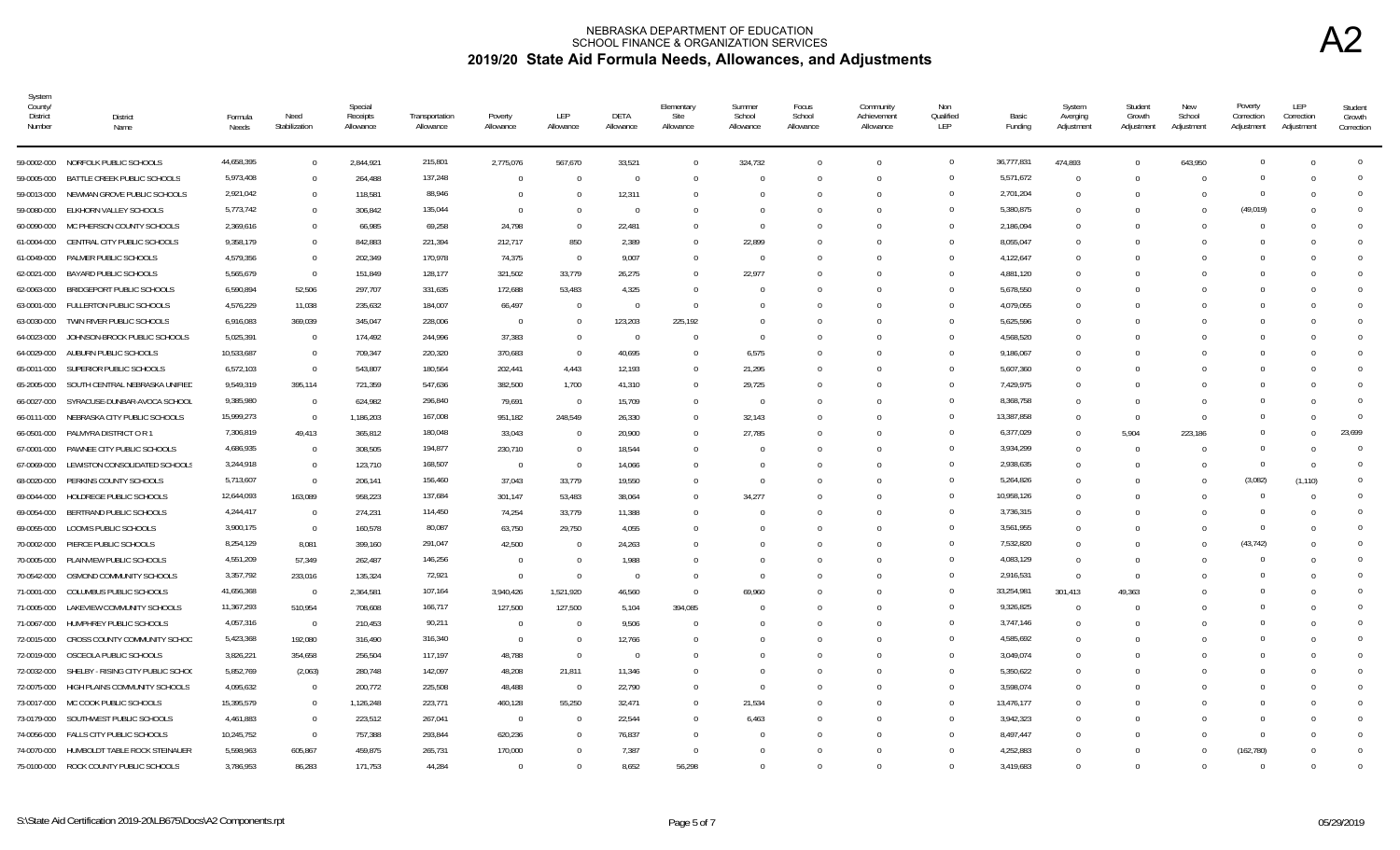| System<br>County/<br>District<br>Number | District<br>Name                       | Formula<br>Needs | Need<br>Stabilization | Special<br>Receipts<br>Allowance | Transportation<br>Allowance | Poverty<br>Allowance | LEP<br>Allowance | DETA<br>Allowance | Elementary<br>Site<br>Allowance | Summer<br>School<br>Allowance | Focus<br>School<br>Allowance | Community<br>Achievement<br>Allowance | Non<br>Qualified<br>LEP | Basic<br>Funding | System<br>Averging<br>Adjustment | Student<br>Growth<br>Adjustment | New<br>School<br>Adjustment | Poverty<br>Correction<br>Adjustment | LEP<br>Correction<br>Adjustment | Student<br>Growth<br>Correction |
|-----------------------------------------|----------------------------------------|------------------|-----------------------|----------------------------------|-----------------------------|----------------------|------------------|-------------------|---------------------------------|-------------------------------|------------------------------|---------------------------------------|-------------------------|------------------|----------------------------------|---------------------------------|-----------------------------|-------------------------------------|---------------------------------|---------------------------------|
|                                         | 59-0002-000 NORFOLK PUBLIC SCHOOLS     | 44,658,395       | $\Omega$              | 2,844,921                        | 215,801                     | 2,775,076            | 567,670          | 33,521            | $\Omega$                        | 324,732                       |                              | $\Omega$                              | $\overline{0}$          | 36,777,831       | 474,893                          | $\Omega$                        | 643,950                     | $\Omega$                            | $\Omega$                        | $\mathbf 0$                     |
| 59-0005-000                             | BATTLE CREEK PUBLIC SCHOOLS            | 5,973,408        | $\overline{0}$        | 264,488                          | 137,248                     | $\overline{0}$       | $\overline{0}$   | $\Omega$          | $\Omega$                        | - 0                           |                              | $\Omega$                              | $\overline{0}$          | 5,571,672        | $\Omega$                         | $\Omega$                        | $\cup$                      |                                     |                                 |                                 |
| 59-0013-000                             | NEWMAN GROVE PUBLIC SCHOOLS            | 2,921,042        | $\overline{0}$        | 118,581                          | 88,946                      | $\Omega$             | - 0              | 12,311            | $\Omega$                        |                               |                              | 0                                     | $\Omega$                | 2,701,204        | $\Omega$                         | -0                              |                             | $\cap$                              |                                 | 0                               |
| 59-0080-000                             | ELKHORN VALLEY SCHOOLS                 | 5,773,742        | $\overline{0}$        | 306,842                          | 135,044                     | $\overline{0}$       | - 0              | $\overline{0}$    |                                 |                               |                              |                                       | $\Omega$                | 5,380,875        | $\Omega$                         | -0                              |                             | (49, 019)                           |                                 |                                 |
| 60-0090-000                             | MC PHERSON COUNTY SCHOOLS              | 2,369,616        | $\Omega$              | 66,985                           | 69,258                      | 24,798               | $\Omega$         | 22,481            | $\Omega$                        |                               |                              | $\Omega$                              | $\Omega$                | 2,186,094        | $\Omega$                         | $\cap$                          |                             | $\cap$                              |                                 |                                 |
| 61-0004-000                             | CENTRAL CITY PUBLIC SCHOOLS            | 9,358,179        | $\Omega$              | 842,883                          | 221,394                     | 212,717              | 850              | 2,389             | $\Omega$                        | 22,899                        |                              |                                       | $\Omega$                | 8,055,047        | $\Omega$                         | $\cap$                          |                             |                                     |                                 |                                 |
| 61-0049-000                             | PALMER PUBLIC SCHOOLS                  | 4,579,356        | $\Omega$              | 202,349                          | 170,978                     | 74,375               | $\overline{0}$   | 9,007             | $\Omega$                        | $\bigcap$                     |                              | <sup>0</sup>                          | $\Omega$                | 4,122,647        | $\Omega$                         | - 0                             |                             |                                     |                                 |                                 |
| 62-0021-000                             | BAYARD PUBLIC SCHOOLS                  | 5,565,679        | $\overline{0}$        | 151,849                          | 128,177                     | 321,502              | 33,779           | 26,275            | $\Omega$                        | 22,977                        |                              |                                       | $\Omega$                | 4,881,120        | $\Omega$                         | - 0                             |                             |                                     |                                 |                                 |
| 62-0063-000                             | BRIDGEPORT PUBLIC SCHOOLS              | 6,590,894        | 52,506                | 297,707                          | 331,635                     | 172,688              | 53,483           | 4,325             | $\Omega$                        |                               |                              |                                       | $\overline{0}$          | 5,678,550        | $\Omega$                         |                                 |                             |                                     |                                 | 0                               |
| 63-0001-000                             | FULLERTON PUBLIC SCHOOLS               | 4,576,229        | 11,038                | 235,632                          | 184,007                     | 66,497               | $\overline{0}$   | $\overline{0}$    | $\Omega$                        |                               |                              |                                       | $\overline{0}$          | 4,079,055        |                                  |                                 |                             |                                     |                                 |                                 |
| 63-0030-000                             | TWIN RIVER PUBLIC SCHOOLS              | 6,916,083        | 369,039               | 345,047                          | 228,006                     | $\overline{0}$       | $\Omega$         | 123,203           | 225,192                         |                               |                              |                                       | $\Omega$                | 5,625,596        | $\Omega$                         |                                 |                             |                                     |                                 |                                 |
| 64-0023-000                             | JOHNSON-BROCK PUBLIC SCHOOLS           | 5,025,391        | $\Omega$              | 174,492                          | 244,996                     | 37,383               | $\Omega$         | $\Omega$          | $\Omega$                        |                               |                              |                                       | $\Omega$                | 4,568,520        |                                  |                                 |                             |                                     |                                 |                                 |
| 64-0029-000                             | AUBURN PUBLIC SCHOOLS                  | 10,533,687       | $\Omega$              | 709,347                          | 220,320                     | 370,683              | $\overline{0}$   | 40,695            | $\Omega$                        | 6,575                         |                              |                                       | $\Omega$                | 9,186,067        | $\Omega$                         |                                 |                             |                                     |                                 |                                 |
| 65-0011-000                             | SUPERIOR PUBLIC SCHOOLS                | 6,572,103        | $\overline{0}$        | 543,807                          | 180,564                     | 202,441              | 4,443            | 12,193            | $\Omega$                        | 21,295                        |                              |                                       | $\Omega$                | 5,607,360        |                                  |                                 |                             |                                     |                                 |                                 |
| 65-2005-000                             | SOUTH CENTRAL NEBRASKA UNIFIED         | 9,549,319        | 395,114               | 721,359                          | 547,636                     | 382,500              | 1,700            | 41,310            | $^{\circ}$                      | 29,725                        |                              |                                       | $\overline{0}$          | 7,429,975        | $\Omega$                         |                                 |                             |                                     |                                 | <sup>n</sup>                    |
| 66-0027-000                             | SYRACUSE-DUNBAR-AVOCA SCHOOL           | 9,385,980        | $\overline{0}$        | 624,982                          | 296,840                     | 79,691               | $\overline{0}$   | 15,709            | $\Omega$                        | - 0                           |                              |                                       | $\overline{0}$          | 8,368,758        | $\Omega$                         | $\Omega$                        |                             | $\cap$                              |                                 | $\Omega$                        |
| 66-0111-000                             | NEBRASKA CITY PUBLIC SCHOOLS           | 15,999,273       | $\overline{0}$        | 1,186,203                        | 167,008                     | 951,182              | 248,549          | 26,330            | $\Omega$                        | 32,143                        |                              |                                       | $\overline{0}$          | 13,387,858       | $\Omega$                         | $\Omega$                        |                             | $\cap$                              |                                 | $\Omega$                        |
| 66-0501-000                             | PALMYRA DISTRICT O R 1                 | 7,306,819        | 49,413                | 365,812                          | 180,048                     | 33,043               | $\overline{0}$   | 20,900            | $\Omega$                        | 27,785                        |                              |                                       | $\overline{0}$          | 6,377,029        | $\Omega$                         | 5,904                           | 223,186                     | $\Omega$                            |                                 | 23.699                          |
| 67-0001-000                             | PAWNEE CITY PUBLIC SCHOOLS             | 4,686,935        | $\overline{0}$        | 308,505                          | 194,877                     | 230,710              | $\Omega$         | 18,544            | $\Omega$                        |                               |                              |                                       | $\Omega$                | 3,934,299        |                                  | $\Omega$                        |                             | $\Omega$                            |                                 | $\Omega$                        |
| 67-0069-000                             | LEWISTON CONSOLIDATED SCHOOLS          | 3,244,918        | $\Omega$              | 123,710                          | 168,507                     | $\overline{0}$       | $\overline{0}$   | 14,066            | $\Omega$                        |                               |                              |                                       | $\Omega$                | 2,938,635        | $\Omega$                         | $\Omega$                        |                             | $\Omega$                            | $\Omega$                        | $\Omega$                        |
| 68-0020-000                             | PERKINS COUNTY SCHOOLS                 | 5,713,607        | $\overline{0}$        | 206,141                          | 156,460                     | 37,043               | 33,779           | 19,550            | $\cup$                          |                               |                              |                                       | $\Omega$                | 5,264,826        |                                  |                                 |                             | (3,082)                             | (1, 110)                        | $\Omega$                        |
| 69-0044-000                             | HOLDREGE PUBLIC SCHOOLS                | 12,644,093       | 163,089               | 958,223                          | 137,684                     | 301,147              | 53,483           | 38,064            | $\Omega$                        | 34,277                        |                              | U                                     | $\mathbf{0}$            | 10,958,126       | $\Omega$                         | - 0                             |                             |                                     |                                 | <sup>0</sup>                    |
| 69-0054-000                             | BERTRAND PUBLIC SCHOOLS                | 4,244,417        | $\overline{0}$        | 274,231                          | 114,450                     | 74,254               | 33,779           | 11,388            | $\Omega$                        |                               |                              |                                       | $\Omega$                | 3,736,315        | $\cap$                           | - ( )                           |                             |                                     |                                 | $\Omega$                        |
| 69-0055-000                             | LOOMIS PUBLIC SCHOOLS                  | 3,900,175        | $\overline{0}$        | 160,578                          | 80,087                      | 63.750               | 29.750           | 4.055             | $\Omega$                        |                               |                              |                                       | $\Omega$                | 3,561,955        | $\Omega$                         | $\Omega$                        |                             | $\Omega$                            |                                 | <sup>0</sup>                    |
| 70-0002-000                             | PIERCE PUBLIC SCHOOLS                  | 8,254,129        | 8,081                 | 399,160                          | 291,047                     | 42.500               | $\overline{0}$   | 24,263            | $\cup$                          |                               |                              |                                       | $\Omega$                | 7,532,820        | $\Omega$                         | $\Omega$                        |                             | (43, 742)                           |                                 |                                 |
| 70-0005-000                             | PLAINVIEW PUBLIC SCHOOLS               | 4,551,209        | 57,349                | 262,487                          | 146,256                     | $\overline{0}$       | $\overline{0}$   | 1,988             |                                 |                               |                              |                                       | $\overline{0}$          | 4,083,129        | $\Omega$                         | $\Omega$                        |                             |                                     |                                 | <sup>0</sup>                    |
| 70-0542-000                             | OSMOND COMMUNITY SCHOOLS               | 3,357,792        | 233,016               | 135,324                          | 72,921                      | $\overline{0}$       | $\overline{0}$   | $\Omega$          | $\Omega$                        |                               |                              |                                       | $\overline{0}$          | 2,916,531        | $\Omega$                         | $\Omega$                        |                             |                                     |                                 | $\Omega$                        |
| 71-0001-000                             | COLUMBUS PUBLIC SCHOOLS                | 41,656,368       | $\overline{0}$        | 2,364,581                        | 107,164                     | 3,940,426            | 1,521,920        | 46,560            | $\Omega$                        | 69,960                        |                              |                                       | $\overline{0}$          | 33,254,981       | 301,413                          | 49,363                          |                             |                                     |                                 | <sup>0</sup>                    |
| 71-0005-000                             | LAKEVIEW COMMUNITY SCHOOLS             | 11,367,293       | 510,954               | 708,608                          | 166,717                     | 127,500              | 127,500          | 5,104             | 394,085                         |                               |                              |                                       | $\overline{0}$          | 9,326,825        |                                  | - 0                             |                             | $\cap$                              |                                 | $\Omega$                        |
| 71-0067-000                             | HUMPHREY PUBLIC SCHOOLS                | 4,057,316        | $\overline{0}$        | 210,453                          | 90,211                      | $\overline{0}$       | $\Omega$         | 9,506             | $\Omega$                        |                               |                              |                                       | $\Omega$                | 3,747,146        | $\Omega$                         | $\Omega$                        |                             |                                     |                                 |                                 |
| 72-0015-000                             | CROSS COUNTY COMMUNITY SCHOO           | 5,423,368        | 192,080               | 316,490                          | 316,340                     | $\overline{0}$       | $\overline{0}$   | 12,766            | $\bigcap$                       |                               |                              |                                       | $\overline{0}$          | 4,585,692        | $\Omega$                         | $\cap$                          |                             | $\cap$                              |                                 | $\Omega$                        |
| 72-0019-000                             | OSCEOLA PUBLIC SCHOOLS                 | 3,826,221        | 354,658               | 256,504                          | 117,197                     | 48,788               | $\Omega$         | $\overline{0}$    | $\cup$                          |                               |                              |                                       | $\Omega$                | 3,049,074        | $\Omega$                         | - 0                             |                             |                                     |                                 |                                 |
| 72-0032-000                             | SHELBY - RISING CITY PUBLIC SCHOO      | 5,852,769        | (2,063)               | 280,748                          | 142,097                     | 48,208               | 21,811           | 11,346            | $\Omega$                        |                               |                              | <sup>0</sup>                          | $\Omega$                | 5,350,622        | $\Omega$                         | - 0                             |                             |                                     |                                 |                                 |
| 72-0075-000                             | HIGH PLAINS COMMUNITY SCHOOLS          | 4,095,632        | $\overline{0}$        | 200,772                          | 225,508                     | 48,488               | - 0              | 22,790            | $\Omega$                        |                               |                              |                                       | $\overline{0}$          | 3,598,074        | $\Omega$                         | - 0                             |                             |                                     |                                 |                                 |
| 73-0017-000                             | MC COOK PUBLIC SCHOOLS                 | 15,395,579       | $\bigcap$             | 1,126,248                        | 223,771                     | 460,128              | 55,250           | 32,471            | $\Omega$                        | 21,534                        |                              |                                       | $\Omega$                | 13,476,177       | $\Omega$                         | - 0                             |                             |                                     |                                 |                                 |
|                                         | 73-0179-000 SOUTHWEST PUBLIC SCHOOLS   | 4,461,883        | $\Omega$              | 223,512                          | 267,041                     | $\Omega$             | - 0              | 22,544            | $\Omega$                        | 6,463                         |                              |                                       | $\Omega$                | 3,942,323        | $\Omega$                         | - 0                             |                             |                                     |                                 |                                 |
| 74-0056-000                             | FALLS CITY PUBLIC SCHOOLS              | 10,245,752       | $\overline{0}$        | 757,388                          | 293,844                     | 620,236              | $\Omega$         | 76,837            | $\Omega$                        |                               |                              |                                       | $\Omega$                | 8,497,447        | $\Omega$                         | $\Omega$                        |                             |                                     |                                 | 0                               |
| 74-0070-000                             | HUMBOLDT TABLE ROCK STEINAUER          | 5,598,963        | 605,867               | 459,875                          | 265,731                     | 170,000              |                  | 7,387             | $\Omega$                        |                               |                              |                                       | $\Omega$                | 4,252,883        |                                  | - 0                             |                             | (162, 780)                          |                                 | $\Omega$                        |
|                                         | 75-0100-000 ROCK COUNTY PUBLIC SCHOOLS | 3,786,953        | 86,283                | 171,753                          | 44,284                      | $\Omega$             |                  | 8,652             | 56,298                          |                               |                              |                                       | $\Omega$                | 3,419,683        |                                  | $\Omega$                        |                             |                                     |                                 |                                 |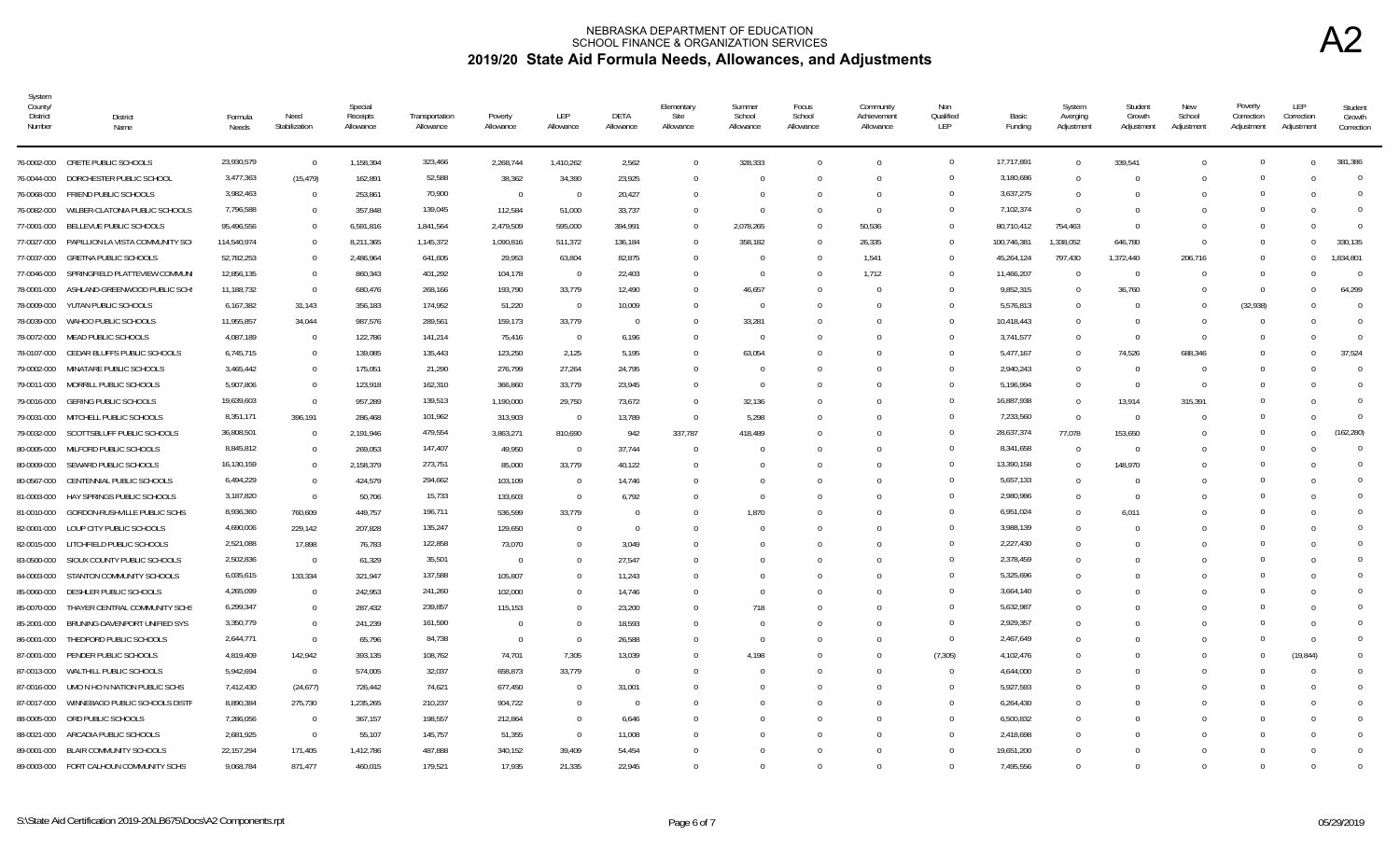| System<br>County/<br><b>District</b><br>Number | <b>District</b><br>Name                      | Formula<br>Needs | Need<br>Stabilization | Special<br>Receipts<br>Allowance | Transportation<br>Allowance | Poverty<br>Allowance | LEP<br>Allowance | DETA<br>Allowance | Elementary<br>Site<br>Allowance | Summer<br>School<br>Allowance | Focus<br>School<br>Allowance | Community<br>Achievement<br>Allowance | Non<br>Qualified<br>LEP | Basic<br>Funding | System<br>Averging<br>Adjustment | Student<br>Growth<br>Adjustment | New<br>School<br>Adjustment | Poverty<br>Correction<br>Adjustment | LEP<br>Correction<br>Adjustment | Student<br>Growth<br>Correction |
|------------------------------------------------|----------------------------------------------|------------------|-----------------------|----------------------------------|-----------------------------|----------------------|------------------|-------------------|---------------------------------|-------------------------------|------------------------------|---------------------------------------|-------------------------|------------------|----------------------------------|---------------------------------|-----------------------------|-------------------------------------|---------------------------------|---------------------------------|
|                                                | 76-0002-000 CRETE PUBLIC SCHOOLS             | 23,930,579       | $\overline{0}$        | 1,158,394                        | 323,466                     | 2,268,744            | 1,410,262        | 2,562             | $\Omega$                        | 328,333                       | $\Omega$                     | $\Omega$                              | $\overline{0}$          | 17,717,891       | $\Omega$                         | 339,541                         |                             | $\Omega$                            | $\Omega$                        | 381.386                         |
| 76-0044-000                                    | DORCHESTER PUBLIC SCHOOL                     | 3,477,363        | (15, 479)             | 162,891                          | 52,588                      | 38,362               | 34,390           | 23,925            | $\Omega$                        | - 0                           | $\Omega$                     | $\Omega$                              | $\Omega$                | 3,180,686        | $\Omega$                         | $\Omega$                        |                             | $\Omega$                            |                                 | $\Omega$                        |
| 76-0068-000                                    | FRIEND PUBLIC SCHOOLS                        | 3,982,463        | $\Omega$              | 253,861                          | 70,900                      | $\overline{0}$       | - 0              | 20,427            | $\Omega$                        |                               | $\Omega$                     | $\Omega$                              | $\overline{0}$          | 3,637,275        | $\Omega$                         |                                 |                             |                                     |                                 | $\Omega$                        |
| 76-0082-000                                    | WILBER-CLATONIA PUBLIC SCHOOLS               | 7,796,588        | $\overline{0}$        | 357,848                          | 139,045                     | 112,584              | 51,000           | 33,737            | $^{\circ}$                      | - 0                           | $\Omega$                     | $\Omega$                              | $\Omega$                | 7,102,374        | $\Omega$                         | -0                              |                             |                                     |                                 | $\Omega$                        |
| 77-0001-000                                    | BELLEVUE PUBLIC SCHOOLS                      | 95,496,556       | $\Omega$              | 6,591,816                        | 1,841,564                   | 2,479,509            | 595,000          | 394,991           | $\Omega$                        | 2,078,265                     | 0                            | 50,536                                | $\overline{0}$          | 80,710,412       | 754,463                          | - 0                             |                             |                                     |                                 | $\Omega$                        |
|                                                | 77-0027-000 PAPILLION LA VISTA COMMUNITY SCH | 114,540,974      | $\Omega$              | 8,211,365                        | 1,145,372                   | 1,090,816            | 511,372          | 136,184           | $\Omega$                        | 358,182                       |                              | 26,335                                | $\Omega$                | 100,746,381      | 1,338,052                        | 646,780                         | $\Omega$                    | $\Omega$                            | $\Omega$                        | 330.135                         |
| 77-0037-000                                    | <b>GRETNA PUBLIC SCHOOLS</b>                 | 52,782,253       | $\Omega$              | 2,486,964                        | 641,605                     | 29,953               | 63,804           | 82,875            | $\Omega$                        |                               |                              | 1,541                                 | $\Omega$                | 45,264,124       | 797,430                          | 1,372,440                       | 206,716                     | $\Omega$                            | $\Omega$                        | 1,834,801                       |
| 77-0046-000                                    | SPRINGFIELD PLATTEVIEW COMMUN                | 12,856,135       | $\Omega$              | 860,343                          | 401,292                     | 104,178              | - 0              | 22,403            | <sup>0</sup>                    | - 0                           |                              | 1,712                                 | $\Omega$                | 11,466,207       |                                  | $\Omega$                        |                             | $\Omega$                            |                                 | $\Omega$                        |
| 78-0001-000                                    | ASHLAND-GREENWOOD PUBLIC SCH                 | 11,188,732       | $\Omega$              | 680,476                          | 268,166                     | 193,790              | 33,779           | 12,490            | <sup>0</sup>                    | 46,657                        |                              |                                       | $\overline{0}$          | 9,852,315        | $\Omega$                         | 36,760                          | <sup>0</sup>                | $\Omega$                            |                                 | 64,299                          |
| 78-0009-000                                    | YUTAN PUBLIC SCHOOLS                         | 6,167,382        | 31,143                | 356,183                          | 174,952                     | 51,220               | - 0              | 10,009            | 0                               |                               |                              |                                       | $\overline{0}$          | 5,576,813        | - 0                              | - 0                             |                             | (32,938)                            |                                 | $\Omega$                        |
| 78-0039-000                                    | WAHOO PUBLIC SCHOOLS                         | 11,955,857       | 34,044                | 987,576                          | 289,561                     | 159,173              | 33,779           | $\Omega$          | $\Omega$                        | 33,281                        |                              |                                       | $\Omega$                | 10,418,443       |                                  | $\Omega$                        |                             |                                     |                                 | $\Omega$                        |
| 78-0072-000                                    | MEAD PUBLIC SCHOOLS                          | 4,087,189        | $\Omega$              | 122,786                          | 141,214                     | 75,416               | $\Omega$         | 6.196             |                                 |                               |                              |                                       | $\Omega$                | 3,741,577        |                                  | $\Omega$                        |                             |                                     |                                 | $\Omega$                        |
| 78-0107-000                                    | CEDAR BLUFFS PUBLIC SCHOOLS                  | 6,745,715        | $\Omega$              | 139,085                          | 135,443                     | 123,250              | 2,125            | 5,195             |                                 | 63,054                        |                              |                                       | $\Omega$                | 5,477,167        | $\Omega$                         | 74,526                          | 688,346                     |                                     |                                 | 37,524                          |
| 79-0002-000                                    | MINATARE PUBLIC SCHOOLS                      | 3,465,442        | $\Omega$              | 175,051                          | 21,290                      | 276,799              | 27,264           | 24,795            |                                 |                               |                              |                                       | $\Omega$                | 2,940,243        |                                  | $\Omega$                        |                             | $\Omega$                            |                                 | $\Omega$                        |
| 79-0011-000                                    | MORRILL PUBLIC SCHOOLS                       | 5,907,806        | $\overline{0}$        | 123,918                          | 162,310                     | 366,860              | 33,779           | 23,945            | $\Omega$                        | - 0                           |                              |                                       | $\overline{0}$          | 5,196,994        |                                  | - 0                             | 0                           | $\cap$                              |                                 | $\Omega$                        |
| 79-0016-000                                    | <b>GERING PUBLIC SCHOOLS</b>                 | 19,639,603       | $\Omega$              | 957,289                          | 139,513                     | 1,190,000            | 29,750           | 73,672            | $\Omega$                        | 32,136                        |                              |                                       | $\overline{0}$          | 16,887,938       | $\Omega$                         | 13,914                          | 315,391                     | $\cap$                              |                                 | $\Omega$                        |
| 79-0031-000                                    | MITCHELL PUBLIC SCHOOLS                      | 8,351,171        | 396,191               | 286,468                          | 101,962                     | 313,903              | - 0              | 13,789            | $\Omega$                        | 5,298                         |                              |                                       | $\overline{0}$          | 7,233,560        | $\Omega$                         | $\overline{0}$                  |                             | $\Omega$                            |                                 | $\Omega$                        |
| 79-0032-000                                    | SCOTTSBLUFF PUBLIC SCHOOLS                   | 36,808,501       | $\overline{0}$        | 2,191,946                        | 479,554                     | 3,863,271            | 810,690          | 942               | 337,787                         | 418,489                       |                              |                                       | $\overline{0}$          | 28,637,374       | 77,078                           | 153,650                         |                             | $\Omega$                            | $\Omega$                        | (162.280)                       |
| 80-0005-000                                    | MILFORD PUBLIC SCHOOLS                       | 8,845,812        | $\Omega$              | 269,053                          | 147,407                     | 49,950               | $\overline{0}$   | 37,744            | $\Omega$                        |                               |                              |                                       | $\Omega$                | 8,341,658        |                                  | $\Omega$                        |                             |                                     |                                 | $\Omega$                        |
| 80-0009-000                                    | SEWARD PUBLIC SCHOOLS                        | 16,130,159       | $\Omega$              | 2,158,379                        | 273,751                     | 85,000               | 33,779           | 40,122            | $\Omega$                        |                               |                              |                                       | $\Omega$                | 13,390,158       | $\Omega$                         | 148.970                         |                             |                                     |                                 | $\Omega$                        |
| 80-0567-000                                    | CENTENNIAL PUBLIC SCHOOLS                    | 6,494,229        | $\Omega$              | 424,579                          | 294,662                     | 103,109              | - 0              | 14,746            |                                 |                               |                              |                                       | $\Omega$                | 5,657,133        |                                  | $\Omega$                        |                             |                                     |                                 | $\Omega$                        |
| 81-0003-000                                    | HAY SPRINGS PUBLIC SCHOOLS                   | 3,187,820        | $\Omega$              | 50,706                           | 15,733                      | 133,603              | $\Omega$         | 6,792             | $\Omega$                        |                               | <sup>n</sup>                 | $\cap$                                | $\mathbf{0}$            | 2,980,986        | $\cap$                           | $\Omega$                        |                             |                                     |                                 |                                 |
| 81-0010-000                                    | GORDON-RUSHVILLE PUBLIC SCHS                 | 8,936,360        | 760,609               | 449,757                          | 196,711                     | 536,599              | 33,779           | $\Omega$          |                                 | 1,870                         |                              |                                       | $\Omega$                | 6,951,024        |                                  | 6.011                           |                             |                                     |                                 |                                 |
| 82-0001-000                                    | LOUP CITY PUBLIC SCHOOLS                     | 4,690,006        | 229.142               | 207.828                          | 135,247                     | 129.650              | $\bigcap$        | $\Omega$          |                                 |                               |                              |                                       | $\Omega$                | 3,988,139        | $\Omega$                         | $\Omega$                        |                             |                                     |                                 |                                 |
|                                                | 82-0015-000 LITCHFIELD PUBLIC SCHOOLS        | 2,521,088        | 17,898                | 76,783                           | 122,858                     | 73,070               |                  | 3,049             |                                 |                               |                              |                                       | $\Omega$                | 2,227,430        |                                  |                                 |                             |                                     |                                 |                                 |
| 83-0500-000                                    | SIOUX COUNTY PUBLIC SCHOOLS                  | 2,502,836        | $\Omega$              | 61,329                           | 35,501                      | $\Omega$             |                  | 27,547            |                                 |                               |                              |                                       | $\overline{0}$          | 2,378,459        |                                  |                                 |                             |                                     |                                 | <sup>0</sup>                    |
| 84-0003-000                                    | STANTON COMMUNITY SCHOOLS                    | 6,035,615        | 133,334               | 321,947                          | 137,588                     | 105,807              |                  | 11,243            |                                 |                               |                              |                                       | $\Omega$                | 5,325,696        |                                  |                                 |                             |                                     |                                 | $\Omega$                        |
| 85-0060-000                                    | DESHLER PUBLIC SCHOOLS                       | 4,265,099        | $\Omega$              | 242,953                          | 241,260                     | 102,000              |                  | 14,746            |                                 |                               |                              |                                       | $\Omega$                | 3,664,140        |                                  |                                 |                             |                                     |                                 | <sup>0</sup>                    |
| 85-0070-000                                    | THAYER CENTRAL COMMUNITY SCHS                | 6,299,347        | $\overline{0}$        | 287,432                          | 239,857                     | 115,153              |                  | 23,200            |                                 | 718                           |                              |                                       | $\overline{0}$          | 5,632,987        |                                  |                                 |                             | $\cap$                              |                                 | $\Omega$                        |
| 85-2001-000                                    | BRUNING-DAVENPORT UNIFIED SYS                | 3,350,779        | $\Omega$              | 241,239                          | 161,590                     | $\Omega$             |                  | 18,593            |                                 |                               | <sup>n</sup>                 | $\Omega$                              | $\overline{0}$          | 2,929,357        | $\cap$                           | - ( )                           |                             |                                     | $\cap$                          | $\Omega$                        |
| 86-0001-000                                    | THEDFORD PUBLIC SCHOOLS                      | 2,644,771        | $\Omega$              | 65,796                           | 84,738                      | $\Omega$             | $\Omega$         | 26,588            | U                               |                               | $\Omega$                     | $\Omega$                              | $\overline{0}$          | 2,467,649        |                                  |                                 |                             | $\Omega$                            | $\Omega$                        | $\Omega$                        |
|                                                | 87-0001-000 PENDER PUBLIC SCHOOLS            | 4,819,409        | 142,942               | 393,135                          | 108,762                     | 74,701               | 7,305            | 13,039            | $\Omega$                        | 4,198                         |                              | $\Omega$                              | (7, 305)                | 4,102,476        | $\Omega$                         | - 0                             |                             |                                     | (19, 844)                       | <sup>0</sup>                    |
| 87-0013-000                                    | WALTHILL PUBLIC SCHOOLS                      | 5,942,694        | $\overline{0}$        | 574,005                          | 32,037                      | 658,873              | 33,779           | $\Omega$          | <sup>0</sup>                    |                               |                              | $\Omega$                              | $\overline{0}$          | 4,644,000        | $\Omega$                         |                                 |                             |                                     | $\Omega$                        | $\Omega$                        |
| 87-0016-000                                    | UMO N HO N NATION PUBLIC SCHS                | 7,412,430        | (24, 677)             | 726,442                          | 74,621                      | 677,450              | - 0              | 31,001            |                                 |                               |                              |                                       | $\overline{0}$          | 5,927,593        |                                  |                                 |                             |                                     |                                 |                                 |
| 87-0017-000                                    | WINNEBAGO PUBLIC SCHOOLS DISTR               | 8,890,384        | 275,730               | 1,235,265                        | 210,237                     | 904,722              | $\Omega$         | $\Omega$          |                                 |                               |                              |                                       | $\Omega$                | 6,264,430        | $\cap$                           |                                 |                             |                                     |                                 |                                 |
|                                                | 88-0005-000 ORD PUBLIC SCHOOLS               | 7,286,056        | $\Omega$              | 367,157                          | 198,557                     | 212,864              | - 0              | 6,646             |                                 |                               |                              | n                                     | $\Omega$                | 6,500,832        | - 0                              |                                 |                             |                                     |                                 |                                 |
| 88-0021-000                                    | ARCADIA PUBLIC SCHOOLS                       | 2,681,925        | $\Omega$              | 55,107                           | 145,757                     | 51,355               | $\bigcap$        | 11,008            |                                 |                               |                              |                                       | $\Omega$                | 2,418,698        |                                  |                                 |                             |                                     |                                 | $\Omega$                        |
|                                                | 89-0001-000 BLAIR COMMUNITY SCHOOLS          | 22, 157, 294     | 171,405               | 1,412,786                        | 487,888                     | 340,152              | 39,409           | 54,454            |                                 |                               |                              |                                       | $\Omega$                | 19,651,200       |                                  |                                 |                             |                                     |                                 | $\Omega$                        |
|                                                | 89-0003-000 FORT CALHOUN COMMUNITY SCHS      | 9,068,784        | 871,477               | 460,015                          | 179,521                     | 17,935               | 21,335           | 22,945            |                                 |                               |                              |                                       | $\Omega$                | 7,495,556        |                                  |                                 |                             |                                     |                                 |                                 |